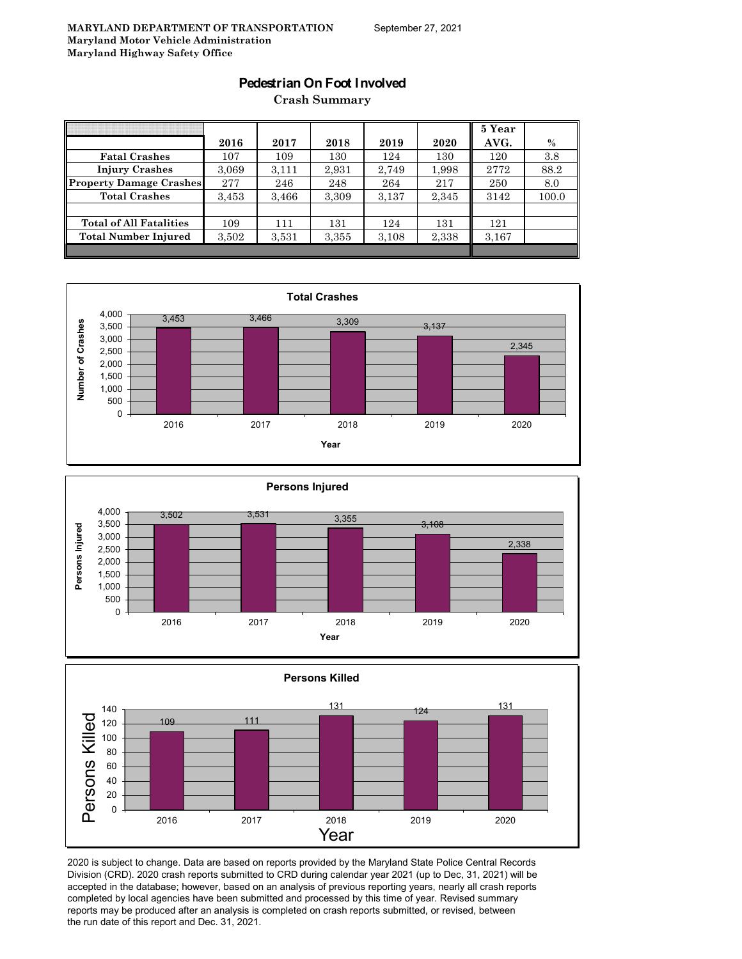#### **Pedestrian On Foot Involved**

**Crash Summary**

|                                |       |       |       |       |       | 5 Year |       |
|--------------------------------|-------|-------|-------|-------|-------|--------|-------|
|                                | 2016  | 2017  | 2018  | 2019  | 2020  | AVG.   | $\%$  |
| <b>Fatal Crashes</b>           | 107   | 109   | 130   | 124   | 130   | 120    | 3.8   |
| <b>Injury Crashes</b>          | 3,069 | 3,111 | 2,931 | 2,749 | 1,998 | 2772   | 88.2  |
| Property Damage Crashes        | 277   | 246   | 248   | 264   | 217   | 250    | 8.0   |
| <b>Total Crashes</b>           | 3,453 | 3,466 | 3,309 | 3.137 | 2,345 | 3142   | 100.0 |
|                                |       |       |       |       |       |        |       |
| <b>Total of All Fatalities</b> | 109   | 111   | 131   | 124   | 131   | 121    |       |
| <b>Total Number Injured</b>    | 3,502 | 3.531 | 3,355 | 3,108 | 2,338 | 3,167  |       |
|                                |       |       |       |       |       |        |       |







2020 is subject to change. Data are based on reports provided by the Maryland State Police Central Records Division (CRD). 2020 crash reports submitted to CRD during calendar year 2021 (up to Dec, 31, 2021) will be accepted in the database; however, based on an analysis of previous reporting years, nearly all crash reports completed by local agencies have been submitted and processed by this time of year. Revised summary reports may be produced after an analysis is completed on crash reports submitted, or revised, between the run date of this report and Dec. 31, 2021.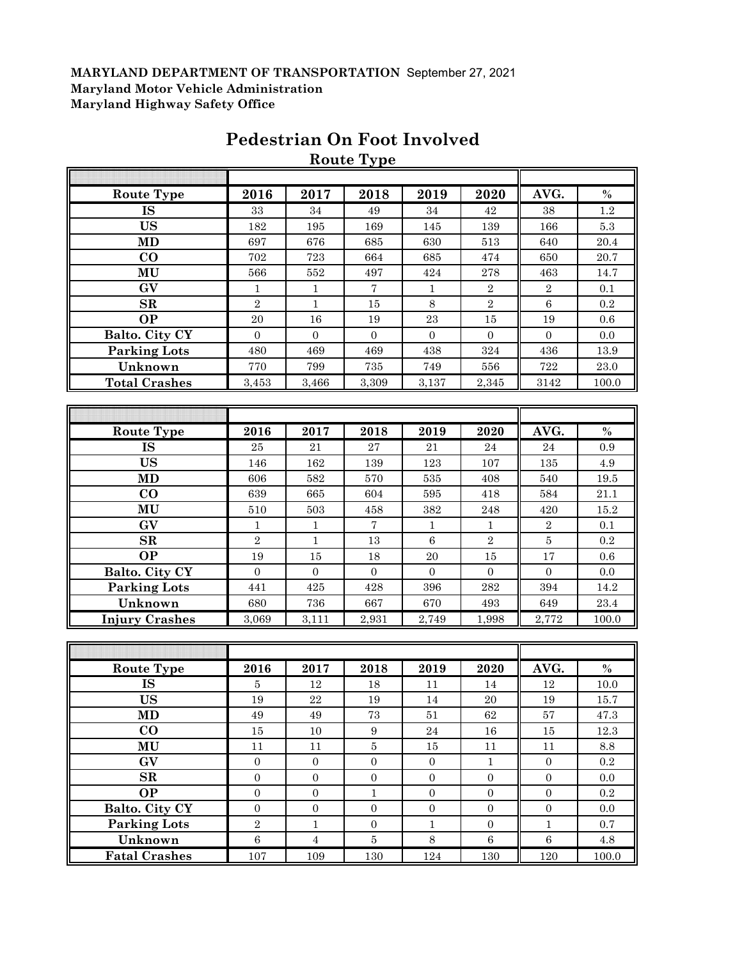|                       |                  |                  | Route Type       |                  |                  |                  |                 |
|-----------------------|------------------|------------------|------------------|------------------|------------------|------------------|-----------------|
|                       |                  |                  |                  |                  |                  |                  |                 |
| <b>Route Type</b>     | 2016             | 2017             | 2018             | 2019             | 2020             | AVG.             | $\%$            |
| <b>IS</b>             | 33               | 34               | 49               | 34               | 42               | 38               | 1.2             |
| <b>US</b>             | 182              | 195              | 169              | 145              | 139              | 166              | $5.3\,$         |
| <b>MD</b>             | 697              | 676              | 685              | 630              | 513              | 640              | 20.4            |
| $\bf CO$              | 702              | 723              | 664              | 685              | 474              | 650              | 20.7            |
| MU                    | 566              | 552              | 497              | 424              | 278              | 463              | 14.7            |
| GV                    | $\mathbf{1}$     | $\mathbf{1}$     | $\overline{7}$   | $\mathbf{1}$     | $\,2$            | $\sqrt{2}$       | 0.1             |
| SR                    | $\sqrt{2}$       | $\mathbf{1}$     | 15               | 8                | $\,2$            | $\,6\,$          | 0.2             |
| <b>OP</b>             | 20               | 16               | 19               | $\bf 23$         | 15               | 19               | 0.6             |
| Balto. City CY        | $\mathbf{0}$     | $\boldsymbol{0}$ | $\boldsymbol{0}$ | $\overline{0}$   | $\mathbf{0}$     | $\mathbf{0}$     | 0.0             |
| <b>Parking Lots</b>   | 480              | 469              | 469              | 438              | 324              | 436              | 13.9            |
| Unknown               | 770              | 799              | $735\,$          | 749              | 556              | 722              | $23.0\,$        |
| <b>Total Crashes</b>  | 3,453            | 3,466            | 3,309            | 3,137            | 2,345            | 3142             | $100.0\,$       |
|                       |                  |                  |                  |                  |                  |                  |                 |
|                       |                  |                  |                  |                  |                  |                  |                 |
| <b>Route Type</b>     | 2016             | 2017             | 2018             | 2019             | 2020             | AVG.             | $\%$            |
| <b>IS</b>             | $\bf 25$         | 21               | 27               | 21               | 24               | 24               | 0.9             |
| <b>US</b>             | 146              | 162              | 139              | 123              | 107              | 135              | 4.9             |
| <b>MD</b>             | 606              | 582              | 570              | 535              | 408              | 540              | $19.5\,$        |
| $\bf CO$              | 639              | 665              | 604              | 595              | 418              | 584              | $21.1\,$        |
| MU                    | 510              | 503              | 458              | 382              | 248              | 420              | 15.2            |
| GV                    | $\mathbf{1}$     | $\,1\,$          | $\overline{7}$   | $\mathbf{1}$     | $1\,$            | $\sqrt{2}$       | 0.1             |
| SR                    | $\sqrt{2}$       | $\mathbf{1}$     | 13               | $\,6\,$          | $\sqrt{2}$       | $\overline{5}$   | 0.2             |
| <b>OP</b>             | 19               | 15               | 18               | 20               | 15               | 17               | 0.6             |
| Balto. City CY        | $\mathbf{0}$     | $\boldsymbol{0}$ | $\boldsymbol{0}$ | $\boldsymbol{0}$ | $\mathbf{0}$     | $\boldsymbol{0}$ | $0.0\,$         |
| <b>Parking Lots</b>   | 441              | 425              | 428              | 396              | 282              | 394              | 14.2            |
| Unknown               | 680              | 736              | 667              | 670              | 493              | 649              | $23.4\,$        |
| <b>Injury Crashes</b> | 3,069            | 3,111            | 2,931            | 2,749            | 1,998            | 2,772            | 100.0           |
|                       |                  |                  |                  |                  |                  |                  |                 |
|                       |                  |                  |                  |                  |                  |                  |                 |
| <b>Route Type</b>     | 2016             | 2017             | 2018             | 2019             | 2020             | AVG.             | $\%$            |
| IS                    | $\bf 5$          | 12               | 18               | 11               | 14               | 12               | 10.0            |
| <b>US</b>             | $19\,$           | $\bf{22}$        | $19\,$           | $14\,$           | $20\,$           | $19\,$           | $15.7\,$        |
| MD                    | 49               | 49               | 73               | 51               | 62               | 57               | 47.3            |
| $\bf CO$              | $15\,$           | 10               | $\boldsymbol{9}$ | 24               | $16\,$           | $15\,$           | 12.3            |
| MU                    | $11\,$           | $11\,$           | $\bf 5$          | $15\,$           | 11               | 11               | $\!\!\!\!\!8.8$ |
| GV                    | $\boldsymbol{0}$ | $\boldsymbol{0}$ | $\boldsymbol{0}$ | $\boldsymbol{0}$ | $\,1\,$          | $\boldsymbol{0}$ | $\rm 0.2$       |
| $\mathbf{SR}$         | $\overline{0}$   | $\boldsymbol{0}$ | $\boldsymbol{0}$ | $\boldsymbol{0}$ | $\boldsymbol{0}$ | $\boldsymbol{0}$ | 0.0             |
| <b>OP</b>             | $\boldsymbol{0}$ | $\boldsymbol{0}$ | $\mathbf 1$      | $\boldsymbol{0}$ | $\boldsymbol{0}$ | $\boldsymbol{0}$ | $0.2\,$         |
| Balto. City CY        | $\boldsymbol{0}$ | $\boldsymbol{0}$ | $\boldsymbol{0}$ | $\boldsymbol{0}$ | $\boldsymbol{0}$ | $\boldsymbol{0}$ | $0.0\,$         |
| Parking Lots          | $\overline{2}$   | $\mathbf{1}$     | $\boldsymbol{0}$ | $\mathbf{1}$     | $\mathbf{0}$     | $1\,$            | 0.7             |
| Unknown               | $\,6\,$          | $\overline{4}$   | $\bf 5$          | 8                | $\,6\,$          | $\,6\,$          | $4.8\,$         |
| <b>Fatal Crashes</b>  | 107              | 109              | 130              | $124\,$          | 130              | $120\,$          | 100.0           |

# **Pedestrian On Foot Involved**

**Route Type**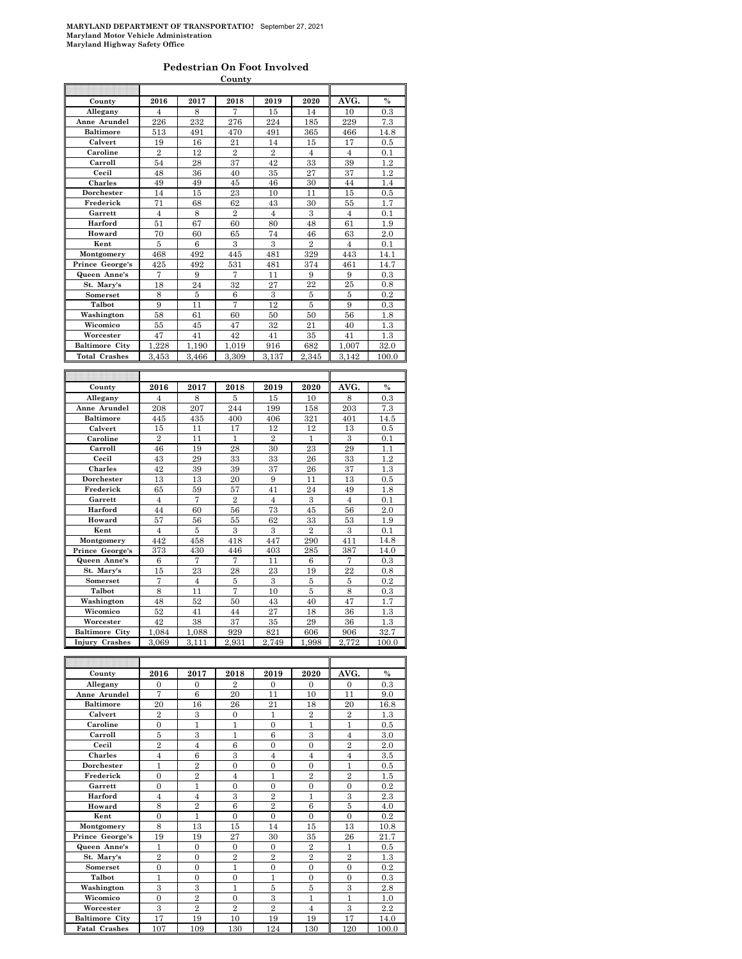#### **Pedestrian On Foot Involved**

| AVG.<br>2016<br>2019<br>2020<br>County<br>2017<br>2018<br>7<br>8<br>Allegany<br>$\overline{4}$<br>15<br>14<br>10 |               |
|------------------------------------------------------------------------------------------------------------------|---------------|
|                                                                                                                  |               |
|                                                                                                                  | $\frac{0}{6}$ |
|                                                                                                                  | 0.3           |
| 226<br>232<br>276<br>224<br>229<br>Anne Arundel<br>185                                                           | 7.3           |
| <b>Baltimore</b><br>513<br>470<br>365<br>491<br>491<br>466                                                       | 14.8          |
| 21<br>Calvert<br>19<br>16<br>14<br>15<br>17                                                                      | 0.5           |
| $\overline{2}$<br>12<br>$\sqrt{2}$<br>$\overline{2}$<br>Caroline<br>$\overline{4}$<br>4                          | 0.1           |
| Carroll<br>28<br>37<br>42<br>33<br>39<br>54                                                                      | 1.2           |
| 27<br>37<br>Cecil<br>48<br>36<br>40<br>35                                                                        | 1.2           |
| Charles                                                                                                          |               |
| 49<br>45<br>46<br>30<br>49<br>44                                                                                 | 1.4           |
| 23<br>Dorchester<br>14<br>15<br>10<br>11<br>15                                                                   | 0.5           |
| 62<br>43<br>Frederick<br>71<br>68<br>30<br>55                                                                    | 1.7           |
| 8<br>$\overline{2}$<br>3<br>Garrett<br>$\overline{4}$<br>$\overline{4}$<br>$\overline{4}$                        | 0.1           |
| Harford<br>51<br>67<br>80<br>61<br>60<br>48                                                                      | 1.9           |
| Howard<br>70<br>65<br>74<br>46<br>63<br>60                                                                       | 2.0           |
| 3<br>3<br>$\overline{2}$<br>Kent<br>5<br>6<br>4                                                                  | 0.1           |
| Montgomery<br>468<br>492<br>445<br>481<br>329<br>443                                                             | 14.1          |
| Prince George's<br>425<br>531<br>492<br>481<br>374<br>461                                                        | 14.7          |
| Queen Anne's<br>7<br>9<br>7<br>9<br>9<br>11                                                                      | 0.3           |
| St. Mary's<br>24<br>32<br>27<br>22<br>25<br>18                                                                   | 0.8           |
| Somerset<br>8<br>5<br>6<br>3<br>5<br>5                                                                           | 0.2           |
| 12<br>Talbot<br>9<br>11<br>7<br>5<br>9                                                                           |               |
|                                                                                                                  | 0.3           |
| Washington<br>58<br>61<br>60<br>50<br>50<br>56                                                                   | 1.8           |
| 32<br>Wicomico<br>55<br>45<br>47<br>21<br>40                                                                     | 1.3           |
| 42<br>Worcester<br>47<br>41<br>41<br>35<br>41                                                                    | 1.3           |
| 1,228<br><b>Baltimore City</b><br>1,190<br>1.019<br>916<br>682<br>1,007                                          | 32.0          |
|                                                                                                                  | 100.0         |
| <b>Total Crashes</b><br>3,453<br>3,466<br>3,309<br>3,137<br>2,345<br>3,142                                       |               |
|                                                                                                                  |               |
|                                                                                                                  |               |
|                                                                                                                  |               |
| 2016<br>2019<br>AVG.<br>County<br>2017<br>2018<br>2020                                                           | $\%$          |
| Allegany<br>8<br>15<br>10<br>8<br>$\overline{4}$<br>5                                                            | 0.3           |
| Anne Arundel<br>208<br>207<br>244<br>199<br>158<br>203                                                           | 7.3           |
| <b>Baltimore</b><br>321<br>445<br>435<br>400<br>406<br>401                                                       | 14.5          |
| 12<br>13<br>Calvert<br>15<br>11<br>17<br>12                                                                      | 0.5           |
| $\overline{2}$<br>$\overline{2}$<br>$\overline{3}$<br>Caroline<br>11<br>1<br>1                                   | 0.1           |
| 28<br>23<br>29<br>Carroll<br>46<br>19<br>30                                                                      | 1.1           |
| Cecil<br>33<br>43<br>29<br>33<br>26<br>33                                                                        | 1.2           |
| 42<br>39<br>37<br>26<br>37<br>Charles<br>39                                                                      | 1.3           |
| 13<br>20<br>13<br>9<br>11<br>13<br>Dorchester                                                                    | 0.5           |
| Frederick<br>65<br>59<br>57<br>41<br>24<br>49                                                                    | 1.8           |
| 7<br>$\overline{2}$<br>3<br>$\overline{4}$<br>Garrett<br>4<br>$\overline{4}$                                     | $_{0.1}$      |
| Harford<br>73<br>45<br>56<br>44<br>60<br>56                                                                      | 2.0           |
| 62<br>53<br>57<br>56<br>55<br>33                                                                                 | 1.9           |
| Howard<br>3<br>3<br>$\overline{2}$<br>Kent<br>$\overline{4}$<br>5<br>3                                           | 0.1           |
| 442<br>458<br>447<br>290<br>411                                                                                  |               |
| 418<br>Montgomery                                                                                                | 14.8          |
| Prince George's<br>373<br>430<br>446<br>403<br>387<br>285                                                        | 14.0          |
| Queen Anne's<br>7<br>$\overline{7}$<br>$\overline{7}$<br>6<br>11<br>6                                            | 0.3           |
| St. Mary's<br>15<br>23<br>28<br>23<br>22<br>19                                                                   | $_{0.8}$      |
| Somerset<br>7<br>$\overline{4}$<br>$\bf 5$<br>3<br>5<br>5                                                        | 0.2           |
| Talbot<br>11<br>7<br>10<br>8<br>5<br>8                                                                           | 0.3           |
| Washington<br>48<br>52<br>50<br>43<br>40<br>47                                                                   | 1.7           |
| Wicomico<br>27<br>52<br>41<br>44<br>18<br>36                                                                     | 1.3           |
| Worcester<br>42<br>38<br>37<br>35<br>29<br>36                                                                    | 1.3           |
| <b>Baltimore City</b><br>929<br>821<br>1,084<br>1,088<br>606<br>906                                              | 32.7          |
| <b>Injury Crashes</b><br>2,772<br>3,069<br>3.111<br>2,931<br>2,749<br>1,998                                      | 100.0         |
|                                                                                                                  |               |
|                                                                                                                  |               |
| AVG.<br>County<br>2016<br>2017<br>2018<br>2019<br>2020                                                           | $\%$          |

| County                | 2016           | 2017           | 2018           | 2019                   | 2020           | AVG.           | $\%$    |
|-----------------------|----------------|----------------|----------------|------------------------|----------------|----------------|---------|
| Allegany              | $\Omega$       | $\Omega$       | $\overline{2}$ | $\Omega$               | $\Omega$       | $\Omega$       | 0.3     |
| Anne Arundel          | 7              | 6              | 20             | 11                     | 10             | 11             | 9.0     |
| <b>Baltimore</b>      | 20             | 16             | 26             | 21                     | 18             | 20             | 16.8    |
| Calvert               | $\overline{2}$ | 3              | $\Omega$       | 1                      | $\overline{2}$ | $\overline{2}$ | $1.3\,$ |
| Caroline              | $\theta$       | 1              | 1              | $\theta$               | 1              | 1              | 0.5     |
| Carroll               | 5              | 3              | 1              | 6                      | 3              | $\overline{4}$ | 3.0     |
| Cecil                 | $\overline{2}$ | $\overline{4}$ | 6              | $\Omega$               | $\overline{0}$ | $\overline{2}$ | 2.0     |
| <b>Charles</b>        | $\overline{4}$ | 6              | 3              | $\overline{4}$         | $\overline{4}$ | $\overline{4}$ | 3.5     |
| Dorchester            | $\overline{1}$ | $\overline{2}$ | $\overline{0}$ | $\theta$               | $\theta$       | 1              | 0.5     |
| Frederick             | $\Omega$       | $\overline{2}$ | $\overline{4}$ | 1                      | $\overline{2}$ | $\overline{2}$ | 1.5     |
| Garrett               | $\Omega$       | 1              | $\theta$       | $\theta$               | $\Omega$       | $\Omega$       | 0.2     |
| Harford               | $\overline{4}$ | $\overline{4}$ | 3              | $\overline{2}$         | 1              | 3              | 2.3     |
| Howard                | 8              | $\overline{2}$ | 6              | $\overline{2}$         | 6              | 5              | 4.0     |
| Kent                  | $\overline{0}$ | 1              | $\theta$       | $\theta$               | $\Omega$       | $\Omega$       | 0.2     |
| Montgomery            | 8              | 13             | 15             | 14                     | 15             | 13             | 10.8    |
| Prince George's       | 19             | 19             | 27             | 30                     | 35             | 26             | 21.7    |
| Queen Anne's          | 1              | $\theta$       | $\Omega$       | $\Omega$               | $\overline{2}$ | 1              | 0.5     |
| St. Mary's            | $\overline{2}$ | $\overline{0}$ | $\overline{2}$ | $\overline{2}$         | $\overline{2}$ | $\overline{2}$ | $1.3\,$ |
| Somerset              | $\overline{0}$ | $\overline{0}$ | 1              | $\theta$               | $\overline{0}$ | $\overline{0}$ | 0.2     |
| Talbot                | 1              | $\overline{0}$ | $\overline{0}$ | 1                      | $\Omega$       | $\theta$       | 0.3     |
| Washington            | 3              | 3              | 1              | 5                      | 5              | 3              | 2.8     |
| Wicomico              | $\overline{0}$ | $\,2\,$        | $\overline{0}$ | 3                      | 1              | 1              | 1.0     |
| Worcester             | 3              | $\overline{2}$ | $\overline{2}$ | $\mathcal{D}_{\alpha}$ | $\overline{4}$ | 3              | 2.2     |
| <b>Baltimore City</b> | 17             | 19             | 10             | 19                     | 19             | 17             | 14.0    |
| <b>Fatal Crashes</b>  | 107            | 109            | 130            | 124                    | 130            | 120            | 100.0   |

 $\overline{\phantom{a}}$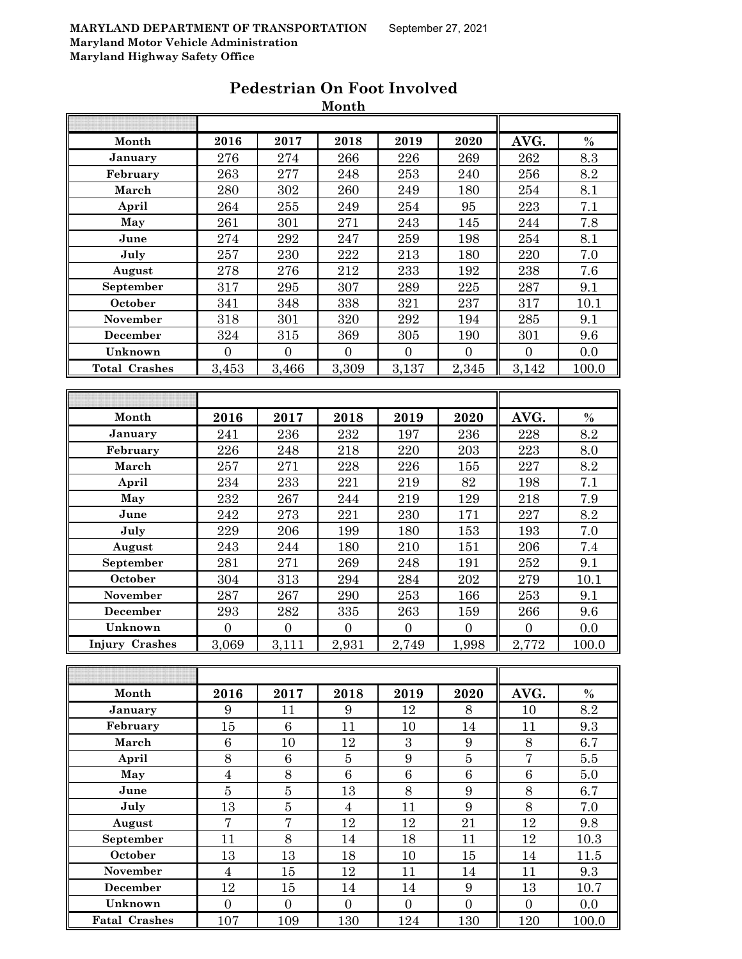|                       |                  |                  | MONTU            |                  |                  |                    |                  |
|-----------------------|------------------|------------------|------------------|------------------|------------------|--------------------|------------------|
|                       |                  |                  |                  |                  |                  |                    |                  |
| Month                 | 2016             | 2017             | 2018             | 2019             | 2020             | AVG.               | $\%$             |
| January               | 276              | 274              | 266              | 226              | 269              | 262                | $\overline{8.3}$ |
| February              | 263              | 277              | 248              | 253              | 240              | 256                | 8.2              |
| March                 | 280              | 302              | 260              | 249              | 180              | 254                | 8.1              |
| April                 | 264              | 255              | 249              | 254              | 95               | 223                | 7.1              |
| May                   | 261              | 301              | 271              | $\bf 243$        | 145              | $\bf 244$          | 7.8              |
| June                  | 274              | 292              | 247              | 259              | 198              | 254                | 8.1              |
| July                  | 257              | 230              | 222              | 213              | 180              | 220                | 7.0              |
| August                | 278              | 276              | 212              | 233              | 192              | 238                | 7.6              |
| September             | 317              | 295              | 307              | 289              | 225              | 287                | 9.1              |
| October               | 341              | 348              | 338              | 321              | 237              | 317                | 10.1             |
| November              | 318              | 301              | 320              | 292              | 194              | 285                | 9.1              |
| December              | 324              | 315              | 369              | 305              | 190              | 301                | 9.6              |
| Unknown               | $\overline{0}$   | $\overline{0}$   | $\overline{0}$   | $\overline{0}$   | $\boldsymbol{0}$ | $\overline{0}$     | $0.0\,$          |
| <b>Total Crashes</b>  | 3,453            | 3,466            | 3,309            | 3,137            | 2,345            | 3,142              | 100.0            |
|                       |                  |                  |                  |                  |                  |                    |                  |
|                       |                  |                  |                  |                  |                  |                    |                  |
| Month                 | 2016             | 2017             | 2018             | 2019             | 2020             | AVG.               | $\%$             |
| January               | 241              | 236              | 232              | 197              | 236              | 228                | 8.2              |
| February              | 226              | 248              | 218              | 220              | 203              | 223                | 8.0              |
| March                 | 257              | 271              | 228              | 226              | 155              | 227                | 8.2              |
| April                 | 234              | 233              | 221              | 219              | 82               | 198                | 7.1              |
| May                   | 232              | 267              | 244              | 219              | 129              | 218                | 7.9              |
| June                  | 242              | 273              | 221              | 230              | 171              | 227                | 8.2              |
| July                  | 229              | 206              | 199              | 180              | 153              | 193                | 7.0              |
| August                | 243              | $\bf 244$        | 180              | 210              | 151              | 206                | 7.4              |
| September             | 281              | 271              | 269              | 248              | 191              | 252                | 9.1              |
| October               | 304              | 313              | 294              | 284              | 202              | 279                | 10.1             |
| November              | 287              | 267              | 290              | 253              | 166              | 253                | 9.1              |
| December              | 293              | 282              | 335              | 263              | 159              | 266                | 9.6              |
| Unknown               | $\overline{0}$   | $\boldsymbol{0}$ | $\boldsymbol{0}$ | $\overline{0}$   | $\boldsymbol{0}$ | $\overline{0}$     | 0.0              |
| <b>Injury Crashes</b> | 3,069            | 3,111            | 2,931            | 2,749            | 1,998            | $\overline{2,772}$ | 100.0            |
|                       |                  |                  |                  |                  |                  |                    |                  |
|                       |                  |                  |                  |                  |                  |                    |                  |
| Month                 | 2016             | 2017             | 2018             | 2019             | 2020             | AVG.               | $\%$             |
| January               | 9                | 11               | 9                | 12               | 8                | 10                 | 8.2              |
| February              | 15               | $\,6\,$          | 11               | 10               | 14               | 11                 | 9.3              |
| March                 | $\boldsymbol{6}$ | 10               | 12               | $\boldsymbol{3}$ | $\boldsymbol{9}$ | $8\,$              | 6.7              |
| April                 | 8                | $\sqrt{6}$       | $\bf 5$          | $9\phantom{.0}$  | $\bf 5$          | $\overline{7}$     | $5.5\,$          |
| May                   | $\boldsymbol{4}$ | 8                | $\,6\,$          | $\overline{6}$   | $\,6\,$          | $\,6\,$            | $5.0\,$          |
| June                  | $\bf 5$          | $\overline{5}$   | 13               | 8                | $\boldsymbol{9}$ | $8\,$              | 6.7              |
| July                  | 13               | $\bf 5$          | $\overline{4}$   | 11               | $\boldsymbol{9}$ | $8\,$              | 7.0              |
| August                | $\overline{7}$   | $\overline{7}$   | 12               | 12               | 21               | 12                 | 9.8              |
| September             | 11               | 8                | 14               | 18               | 11               | 12                 | 10.3             |
| October               | 13               | 13               | 18               | 10               | 15               | 14                 | 11.5             |
| November              | $\overline{4}$   | $15\,$           | 12               | 11               | 14               | 11                 | 9.3              |

**December** | 12 | 15 | 14 | 14 | 9 || 13 | 10.7 **Unknown** 0 0 0 0 0 0 0.0 **Fatal Crashes** 107 109 130 124 130 120 100.0

#### **Pedestrian On Foot Involved Month**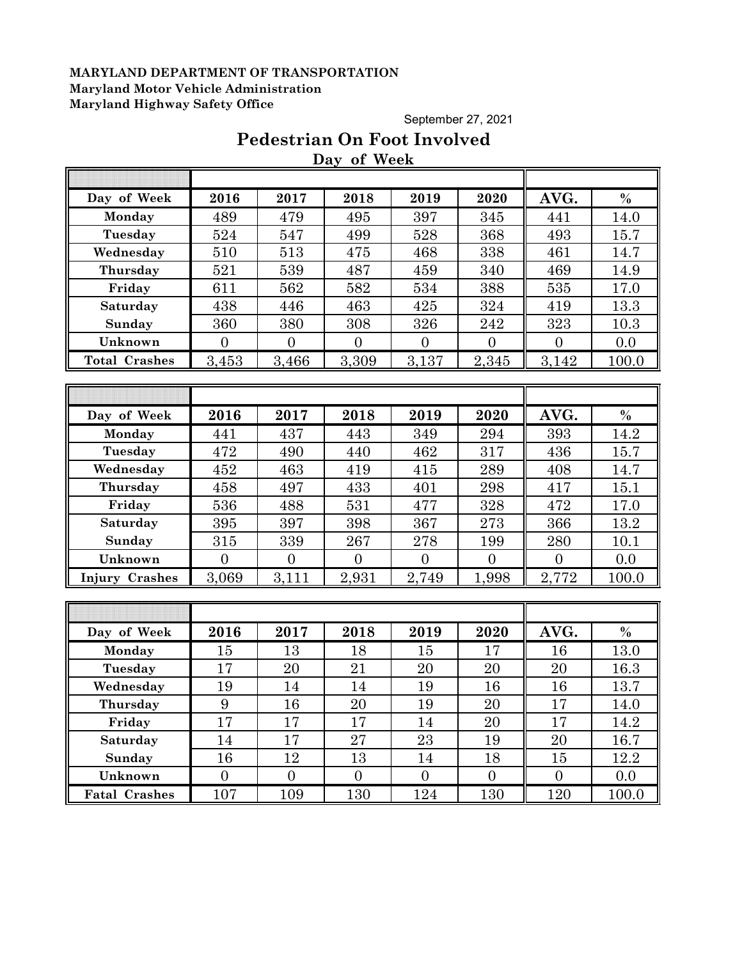September 27, 2021

# **Pedestrian On Foot Involved Day of Week**

| Day of Week           | 2016           | 2017           | 2018           | 2019           | 2020           | AVG.           | $\%$    |
|-----------------------|----------------|----------------|----------------|----------------|----------------|----------------|---------|
| Monday                | 489            | 479            | 495            | 397            | 345            | 441            | 14.0    |
| Tuesday               | 524            | 547            | 499            | 528            | 368            | 493            | 15.7    |
| Wednesday             | 510            | 513            | 475            | 468            | 338            | 461            | 14.7    |
| Thursday              | 521            | 539            | 487            | 459            | 340            | 469            | 14.9    |
| Friday                | 611            | 562            | 582            | 534            | 388            | 535            | 17.0    |
| Saturday              | 438            | 446            | 463            | 425            | 324            | 419            | 13.3    |
| Sunday                | 360            | 380            | 308            | 326            | 242            | 323            | 10.3    |
| Unknown               | $\overline{0}$ | $\overline{0}$ | $\overline{0}$ | $\overline{0}$ | $\overline{0}$ | $\overline{0}$ | 0.0     |
| <b>Total Crashes</b>  | 3,453          | 3,466          | 3,309          | 3,137          | 2,345          | 3,142          | 100.0   |
|                       |                |                |                |                |                |                |         |
|                       |                |                |                |                |                |                |         |
| Day of Week           | 2016           | 2017           | 2018           | 2019           | 2020           | AVG.           | $\%$    |
| Monday                | 441            | 437            | 443            | 349            | 294            | 393            | 14.2    |
| Tuesday               | 472            | 490            | 440            | 462            | 317            | 436            | 15.7    |
| Wednesday             | 452            | 463            | 419            | 415            | 289            | 408            | 14.7    |
| Thursday              | 458            | 497            | 433            | 401            | 298            | 417            | 15.1    |
| Friday                | 536            | 488            | 531            | 477            | 328            | 472            | 17.0    |
| Saturday              | 395            | 397            | 398            | 367            | 273            | 366            | 13.2    |
| Sunday                | 315            | 339            | 267            | 278            | 199            | 280            | 10.1    |
| Unknown               | $\overline{0}$ | $\overline{0}$ | $\overline{0}$ | $\overline{0}$ | $\overline{0}$ | $\overline{0}$ | 0.0     |
| <b>Injury Crashes</b> | 3,069          | 3,111          | 2,931          | 2,749          | 1,998          | 2,772          | 100.0   |
|                       |                |                |                |                |                |                |         |
|                       |                |                |                |                |                |                |         |
| Day of Week           | 2016           | 2017           | 2018           | 2019           | 2020           | AVG.           | $\%$    |
| Monday                | 15             | 13             | 18             | 15             | 17             | 16             | 13.0    |
| Tuesday               | 17             | 20             | 21             | 20             | 20             | 20             | 16.3    |
| Wednesday             | 19             | 14             | 14             | 19             | 16             | 16             | 13.7    |
| Thursday              | 9              | 16             | 20             | 19             | 20             | 17             | 14.0    |
| Friday                | 17             | 17             | 17             | 14             | 20             | 17             | 14.2    |
| Saturday              | 14             | 17             | 27             | 23             | 19             | 20             | 16.7    |
| Sunday                | 16             | 12             | 13             | 14             | 18             | 15             | 12.2    |
| Unknown               | $\overline{0}$ | $\overline{0}$ | $\overline{0}$ | $\overline{0}$ | $\overline{0}$ | $\overline{0}$ | $0.0\,$ |
| <b>Fatal Crashes</b>  | 107            | 109            | 130            | 124            | 130            | 120            | 100.0   |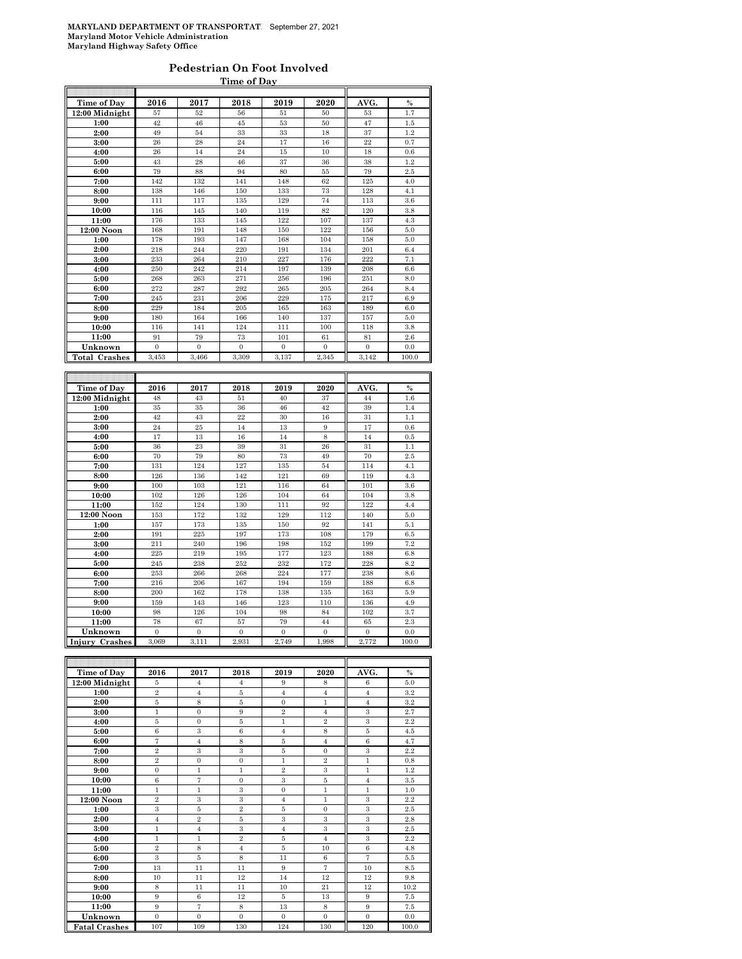#### **Pedestrian On Foot Involved Time of Day**

| Time of Day          | 2016           | 2017           | 2018           | 2019             | 2020           | AVG.             | $\%$       |
|----------------------|----------------|----------------|----------------|------------------|----------------|------------------|------------|
| 12:00 Midnight       | 57             | 52             | 56             | 51               | 50             | 53               | 1.7        |
| 1:00                 | 42             | 46             | 45             | 53               | 50             | 47               | 1.5        |
| 2:00                 | 49             | 54             | 33             | 33               | 18             | 37               | 1.2        |
| 3:00                 | 26             | 28             | 24             | 17               | 16             | 22               | 0.7        |
| 4:00                 | 26             | 14             | 24             | 15               | 10             | 18               | 0.6        |
| 5:00                 | 43             | 28             | 46             | 37               | 36             | 38               | 1.2        |
| 6:00                 | 79             | 88             | 94             | 80               | 55             | 79               | 2.5        |
| 7:00                 | 142            | 132            | 141            | 148              | 62             | 125              | 4.0        |
| 8:00                 | 138            | 146            | 150            | 133              | 73             | 128              | 4.1        |
| 9:00                 | 111            | 117            | 135            | 129              | 74             | 113              | 3.6        |
| 10:00                | 116            | 145            | 140            | 119              | 82             | 120              | 3.8        |
| 11:00                | 176            | 133            | 145            | 122              | 107            | 137              | 4.3        |
| 12:00 Noon           | 168            | 191            | 148            | 150              | 122            | 156              | 5.0        |
| 1:00                 | 178            | 193            | 147            | 168              | 104            | 158              | 5.0        |
| 2:00                 | 218            | 244            | 220            | 191              | 134            | 201              | 6.4        |
| 3:00                 | 233            | 264            | 210            | 227              | 176            | 222              | 7.1        |
| 4:00                 | 250            | 242            | 214            | 197              | 139            | 208              | 6.6        |
| 5:00                 | 268            | 263            | 271            | 256              | 196            | 251              | 8.0        |
| 6:00                 | 272            | 287            | 292            | 265              | 205            | 264              | 8.4        |
| 7:00                 | 245            | 231            | 206            | 229              | 175            | 217              | 6.9        |
| 8:00                 | 229            | 184            | 205            | 165              | 163            | 189              | 6.0        |
| 9:00                 | 180            | 164            | 166            | 140              | 137            | 157              | 5.0        |
| 10:00                | 116            | 141            | 124            | 111              | 100            | 118              | 3.8        |
| 11:00                | 91             | 79             | 73             | 101              | 61             | 81               | 2.6        |
| Unknown              | $\mathbf{0}$   | $\overline{0}$ | $\mathbf{0}$   | $\mathbf{0}$     | $\mathbf{0}$   | $\overline{0}$   | 0.0        |
| <b>Total Crashes</b> | 3,453          | 3,466          | 3,309          | 3,137            | 2,345          | 3,142            | 100.0      |
|                      |                |                |                |                  |                |                  |            |
|                      |                |                |                |                  |                |                  |            |
|                      |                |                |                |                  |                |                  |            |
| Time of Day          | 2016           | 2017           | 2018           | 2019             | 2020           | AVG.             | $\%$       |
| 12:00 Midnight       | 48             | 43             | 51             | 40               | 37             | 44               | 1.6        |
| 1:00                 | 35             | 35             | 36             | 46               | 42             | 39               | 1.4        |
| 2:00                 | 42             | 43             | 22             | 30               | 16             | 31               | 1.1        |
| 3:00                 | 24             | 25             | 14             | 13               | 9              | 17               | 0.6        |
| 4:00                 | 17             | 13             | 16             | 14               | 8              | 14               | 0.5        |
| 5:00                 | 36             | 23             | 39             | 31               | 26             | 31               | 1.1        |
| 6:00                 | 70             | 79             | 80             | 73               | 49             | 70               | 2.5        |
| 7:00                 | 131            | 124            | 127            | 135              | 54             | 114              | 4.1        |
| 8:00                 | 126            | 136            | 142            | 121              | 69             | 119              | 4.3        |
| 9:00                 | 100            | 103            | 121            | 116              | 64             | 101              | 3.6        |
| 10:00                | 102            | 126            | 126            | 104              | 64             | 104              | 3.8        |
| 11:00                | 152            | 124            | 130            | 111              | 92             | 122              | 4.4        |
| 12:00 Noon           | 153            | 172            | 132            | 129              | 112            | 140              | 5.0        |
| 1:00                 | 157            | 173            | 135            | 150              | 92             | 141              | 5.1        |
| 2:00                 | 191            | 225            | 197            | 173              | 108            | 179              | 6.5        |
| 3:00                 | 211            | 240            | 196            | 198              | 152            | 199              | 7.2        |
| 4:00                 | 225            | 219            | 195            | 177              | 123            | 188              | 6.8        |
| 5:00                 | 245            | 238            | 252            | 232              | 172            | 228              | 8.2        |
| 6:00<br>7:00         | 253<br>216     | 266<br>206     | 268<br>167     | 224<br>194       | 177<br>159     | 238<br>188       | 8.6<br>6.8 |
|                      | 200            |                |                |                  |                |                  |            |
| 8:00<br>9:00         | 159            | 162<br>143     | 178<br>146     | 138<br>123       | 135<br>110     | 163<br>136       | 5.9<br>4.9 |
|                      | 98             | 126            | 104            | 98               | 84             | 102              |            |
| 10:00<br>11:00       | 78             | 67             | 57             | 79               | 44             | 65               | 3.7<br>2.3 |
|                      | $\overline{0}$ | $\overline{0}$ | $\overline{0}$ | $\boldsymbol{0}$ | $\overline{0}$ | $\boldsymbol{0}$ | 0.0        |
| Unknown              | 3,069          | 3,111          | 2,931          | 2,749            | 1,998          | 2,772            | 100.0      |
| Crashes<br>Injury    |                |                |                |                  |                |                  |            |
|                      |                |                |                |                  |                |                  |            |

| Time of Day          | 2016           | 2017           | 2018           | 2019           | 2020           | AVG.           | $\frac{0}{0}$ |
|----------------------|----------------|----------------|----------------|----------------|----------------|----------------|---------------|
| 12:00 Midnight       | 5              | $\overline{4}$ | $\overline{4}$ | 9              | 8              | 6              | 5.0           |
| 1:00                 | $\overline{2}$ | $\overline{4}$ | 5              | $\overline{4}$ | $\overline{4}$ | $\overline{4}$ | 3.2           |
| 2:00                 | $\bf 5$        | $\,$ 8 $\,$    | $\bf 5$        | $\mathbf{0}$   | 1              | $\overline{4}$ | 3.2           |
| 3:00                 | $\mathbf{1}$   | $\Omega$       | 9              | $\overline{2}$ | $\overline{4}$ | 3              | 2.7           |
| 4:00                 | 5              | $\overline{0}$ | 5              | $\mathbf{1}$   | $\overline{2}$ | 3              | 2.2           |
| 5:00                 | $\,6$          | 3              | $\,6$          | $\overline{4}$ | 8              | 5              | 4.5           |
| 6:00                 | $\overline{7}$ | $\overline{4}$ | 8              | $\overline{5}$ | $\overline{4}$ | $\overline{6}$ | 4.7           |
| 7:00                 | $\overline{2}$ | 3              | 3              | 5              | $\Omega$       | 3              | 2.2           |
| 8:00                 | $\overline{2}$ | $\overline{0}$ | $\overline{0}$ | $\mathbf{1}$   | $\overline{2}$ | $\mathbf{1}$   | 0.8           |
| 9:00                 | $\mathbf{0}$   | $\mathbf{1}$   | 1              | $\overline{2}$ | 3              | $\mathbf{1}$   | 1.2           |
| 10:00                | 6              | 7              | $\overline{0}$ | 3              | $\bf 5$        | $\overline{4}$ | 3.5           |
| 11:00                | $\mathbf{1}$   | $\mathbf{1}$   | 3              | $\Omega$       | $\mathbf{1}$   | $\mathbf{1}$   | 1.0           |
| 12:00 Noon           | $\overline{2}$ | 3              | 3              | $\overline{4}$ | $\mathbf{1}$   | 3              | 2.2           |
| 1:00                 | 3              | 5              | $\overline{2}$ | 5              | $\mathbf{0}$   | 3              | 2.5           |
| 2:00                 | $\overline{4}$ | $\overline{2}$ | 5              | 3              | 3              | 3              | 2.8           |
| 3:00                 | $\mathbf{1}$   | $\overline{4}$ | $\,3$          | $\overline{4}$ | 3              | $\,3\,$        | 2.5           |
| 4:00                 | $\mathbf{1}$   | $\mathbf{1}$   | $\overline{2}$ | 5              | $\overline{4}$ | 3              | 2.2           |
| 5:00                 | $\overline{2}$ | 8              | $\overline{4}$ | 5              | 10             | $\,6$          | 4.8           |
| 6:00                 | 3              | 5              | 8              | 11             | $\,6$          | $\overline{7}$ | 5.5           |
| 7:00                 | 13             | 11             | 11             | 9              | $\overline{7}$ | 10             | 8.5           |
| 8:00                 | 10             | 11             | 12             | 14             | 12             | 12             | 9.8           |
| 9:00                 | 8              | 11             | 11             | 10             | 21             | 12             | 10.2          |
| 10:00                | $\,9$          | 6              | 12             | 5              | 13             | $\,9$          | 7.5           |
| 11:00                | 9              | $\overline{7}$ | 8              | 13             | 8              | 9              | 7.5           |
| Unknown              | $\mathbf{0}$   | $\mathbf{0}$   | $\mathbf{0}$   | $\mathbf{0}$   | $\Omega$       | $\mathbf{0}$   | 0.0           |
| <b>Fatal Crashes</b> | 107            | 109            | 130            | 124            | 130            | 120            | 100.0         |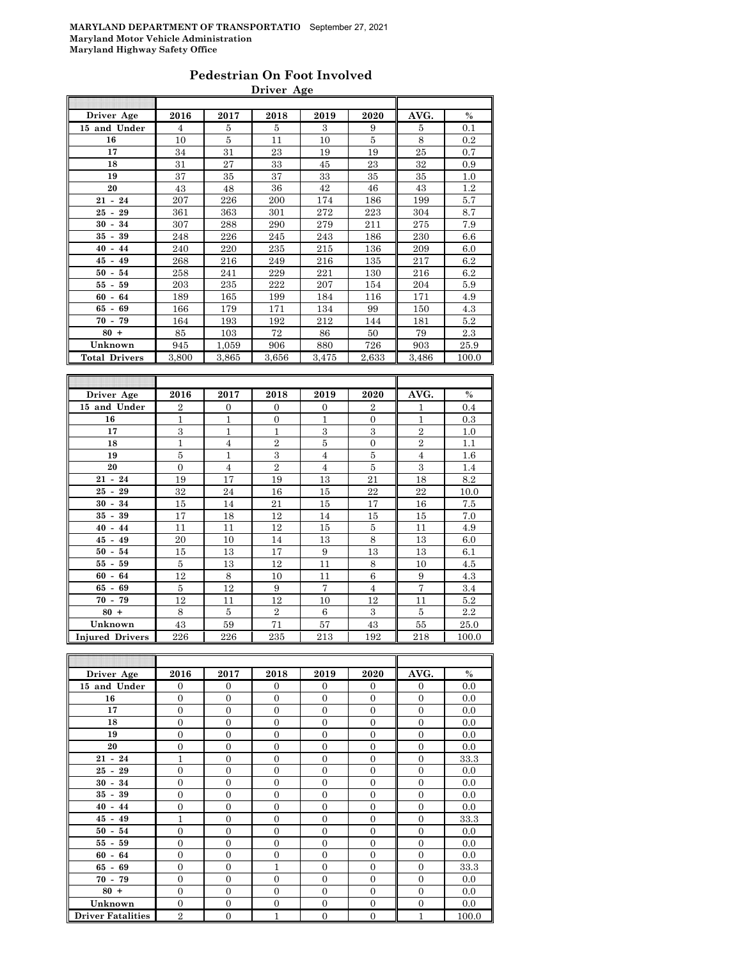## **Pedestrian On Foot Involved Driver Age**

| Driver Age           | 2016           | 2017           | 2018           | 2019           | 2020           | AVG.           | $\%$    |
|----------------------|----------------|----------------|----------------|----------------|----------------|----------------|---------|
| 15 and Under         | $\overline{4}$ | 5              | 5              | 3              | 9              | 5              | 0.1     |
| 16                   | 10             | 5              | 11             | 10             | 5              | 8              | 0.2     |
| 17                   | 34             | 31             | 23             | 19             | 19             | 25             | 0.7     |
| 18                   | 31             | 27             | 33             | 45             | 23             | 32             | 0.9     |
| 19                   | 37             | 35             | 37             | 33             | 35             | 35             | 1.0     |
| 20                   | 43             | 48             | 36             | 42             | 46             | 43             | 1.2     |
| $21 - 24$            | 207            | 226            | 200            | 174            | 186            | 199            | 5.7     |
| $25 - 29$            | 361            | 363            | 301            | 272            | 223            | 304            | 8.7     |
| $30 - 34$            | 307            | 288            | 290            | 279            | 211            | 275            | 7.9     |
| $35 - 39$            | 248            | 226            | 245            | 243            | 186            | 230            | 6.6     |
| $40 - 44$            | 240            | 220            | 235            | 215            | 136            | 209            | 6.0     |
| $45 - 49$            | 268            | 216            | 249            | 216            | 135            | 217            | 6.2     |
| $50 - 54$            | 258            | 241            | 229            | 221            | 130            | 216            | 6.2     |
| $55 - 59$            | 203            | 235            | 222            | 207            | 154            | 204            | 5.9     |
| $60 - 64$            | 189            | 165            | 199            | 184            | 116            | 171            | 4.9     |
| $65 - 69$            | 166            | 179            | 171            | 134            | 99             | 150            | 4.3     |
| $70 - 79$            | 164            | 193            | 192            | 212            | 144            | 181            | $5.2\,$ |
| $80 +$               | 85             | 103            | 72             | 86             | 50             | 79             | 2.3     |
| Unknown              | 945            | 1,059          | 906            | 880            | 726            | 903            | 25.9    |
| <b>Total Drivers</b> | 3,800          | 3,865          | 3,656          | 3,475          | 2,633          | 3,486          | 100.0   |
|                      |                |                |                |                |                |                |         |
|                      |                |                |                |                |                |                |         |
| Driver Age           | 2016           | 2017           | 2018           | 2019           | 2020           | AVG.           | $\%$    |
| 15 and Under         | $\overline{2}$ | $\mathbf{0}$   | $\Omega$       | $\overline{0}$ | $\overline{2}$ | 1              | 0.4     |
| 16                   | 1              | 1              | $\overline{0}$ | 1              | $\overline{0}$ | 1              | 0.3     |
| 17                   | 3              | $\mathbf{1}$   | $\mathbf{1}$   | 3              | 3              | $\overline{2}$ | 1.0     |
| 18                   | $\mathbf{1}$   | $\overline{4}$ | $\overline{2}$ | 5              | $\overline{0}$ | $\overline{2}$ | 1.1     |
| 19                   | 5              | $\overline{1}$ | 3              | $\overline{4}$ | $\bf 5$        | $\overline{4}$ | 1.6     |
| 20                   | $\overline{0}$ | $\overline{4}$ | $\overline{2}$ | $\overline{4}$ | $\bf 5$        | $\overline{3}$ | 1.4     |

| 19                     | 5        | 1              | 3              | 4              | 5             | $\overline{4}$ | $1.6\,$ |
|------------------------|----------|----------------|----------------|----------------|---------------|----------------|---------|
| 20                     | $\Omega$ | 4              | $\overline{2}$ | 4              | 5             | 3              | 1.4     |
| $21 - 24$              | 19       | 17             | 19             | 13             | 21            | 18             | 8.2     |
| $25 - 29$              | 32       | 24             | 16             | 15             | 22            | 22             | 10.0    |
| $30 - 34$              | 15       | 14             | 21             | 15             | 17            | 16             | 7.5     |
| $35 - 39$              | 17       | 18             | 12             | 14             | 15            | 15             | 7.0     |
| $40 - 44$              | 11       | 11             | 12             | 15             | 5             | 11             | 4.9     |
| $45 - 49$              | 20       | 10             | 14             | 13             | 8             | 13             | 6.0     |
| $50 - 54$              | 15       | 13             | 17             | 9              | 13            | 13             | 6.1     |
| $55 - 59$              | 5        | 13             | 12             | 11             | 8             | 10             | 4.5     |
| $60 - 64$              | 12       | 8              | 10             | 11             | 6             | 9              | 4.3     |
| $65 - 69$              | 5        | 12             | 9              | $\overline{7}$ | 4             | 7              | 3.4     |
| $70 - 79$              | 12       | 11             | 12             | 10             | 12            | 11             | 5.2     |
| $80 +$                 | 8        | $\overline{5}$ | $\overline{2}$ | 6              | $\mathcal{S}$ | 5              | 2.2     |
| Unknown                | 43       | 59             | 71             | 57             | 43            | 55             | 25.0    |
| <b>Injured Drivers</b> | 226      | 226            | 235            | 213            | 192           | 218            | 100.0   |

| Driver Age               | 2016           | 2017           | 2018           | 2019           | 2020           | AVG.           | $\%$  |
|--------------------------|----------------|----------------|----------------|----------------|----------------|----------------|-------|
| 15 and Under             | $\overline{0}$ | $\theta$       | $\Omega$       | $\Omega$       | $\mathbf{0}$   | $\overline{0}$ | 0.0   |
| 16                       | $\overline{0}$ | $\theta$       | $\Omega$       | $\Omega$       | $\overline{0}$ | $\overline{0}$ | 0.0   |
| 17                       | $\Omega$       | $\overline{0}$ | $\Omega$       | $\Omega$       | $\Omega$       | $\Omega$       | 0.0   |
| 18                       | $\Omega$       | $\overline{0}$ | $\Omega$       | $\Omega$       | $\Omega$       | $\overline{0}$ | 0.0   |
| 19                       | $\overline{0}$ | $\overline{0}$ | $\Omega$       | $\Omega$       | $\overline{0}$ | $\overline{0}$ | 0.0   |
| 20                       | $\overline{0}$ | $\overline{0}$ | $\Omega$       | $\Omega$       | $\overline{0}$ | $\mathbf{0}$   | 0.0   |
| $21 - 24$                | $\mathbf{1}$   | $\overline{0}$ | $\Omega$       | $\Omega$       | $\overline{0}$ | $\overline{0}$ | 33.3  |
| $25 - 29$                | $\overline{0}$ | $\overline{0}$ | $\Omega$       | $\Omega$       | $\theta$       | $\overline{0}$ | 0.0   |
| $30 - 34$                | $\overline{0}$ | $\overline{0}$ | $\Omega$       | $\Omega$       | $\overline{0}$ | $\overline{0}$ | 0.0   |
| $35 - 39$                | $\overline{0}$ | $\overline{0}$ | $\Omega$       | $\Omega$       | $\overline{0}$ | $\overline{0}$ | 0.0   |
| $40 - 44$                | $\overline{0}$ | $\overline{0}$ | $\Omega$       | $\theta$       | $\overline{0}$ | $\overline{0}$ | 0.0   |
| $45 - 49$                | 1              | $\overline{0}$ | $\overline{0}$ | $\overline{0}$ | $\overline{0}$ | $\overline{0}$ | 33.3  |
| $50 - 54$                | $\overline{0}$ | $\overline{0}$ | $\Omega$       | $\Omega$       | $\overline{0}$ | $\overline{0}$ | 0.0   |
| $55 - 59$                | $\Omega$       | $\overline{0}$ | $\Omega$       | $\Omega$       | $\Omega$       | $\Omega$       | 0.0   |
| $60 - 64$                | $\overline{0}$ | $\overline{0}$ | $\Omega$       | $\Omega$       | $\overline{0}$ | $\overline{0}$ | 0.0   |
| $65 - 69$                | $\overline{0}$ | $\overline{0}$ | 1              | $\Omega$       | $\overline{0}$ | $\Omega$       | 33.3  |
| $70 - 79$                | $\theta$       | $\overline{0}$ | $\Omega$       | $\theta$       | $\Omega$       | $\theta$       | 0.0   |
| $80 +$                   | $\overline{0}$ | $\overline{0}$ | $\Omega$       | $\Omega$       | $\overline{0}$ | $\overline{0}$ | 0.0   |
| Unknown                  | $\overline{0}$ | $\overline{0}$ | $\Omega$       | $\Omega$       | $\overline{0}$ | $\overline{0}$ | 0.0   |
| <b>Driver Fatalities</b> | $\overline{2}$ | $\overline{0}$ | 1              | $\overline{0}$ | $\overline{0}$ | 1              | 100.0 |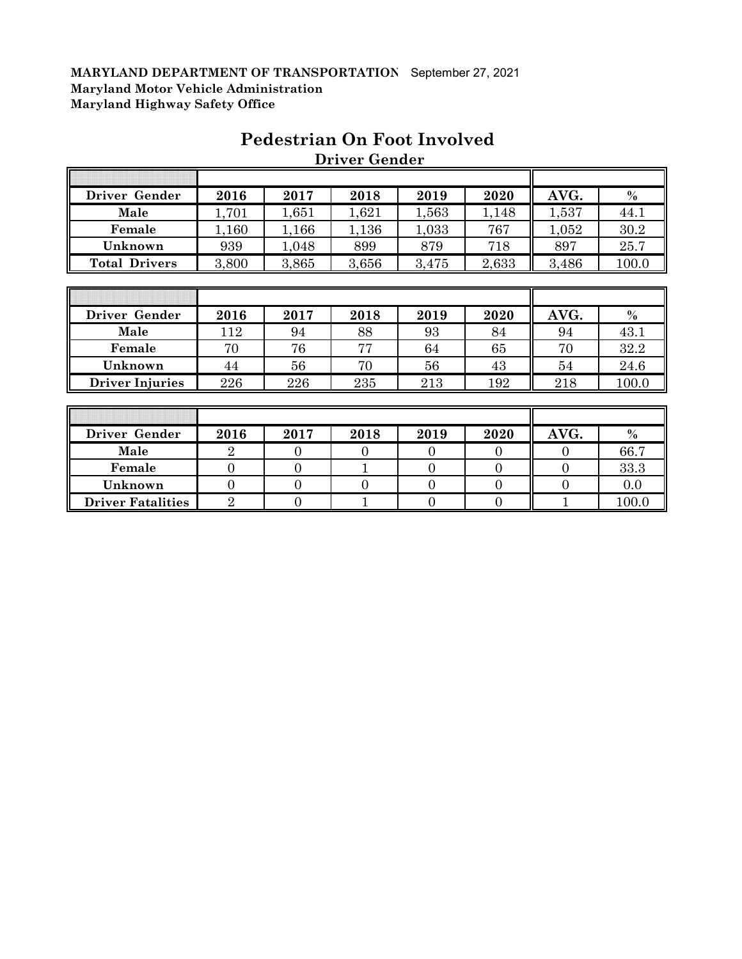| Driver Gender          | 2016  | 2017  | 2018  | 2019  | 2020  | AVG.  | $\frac{0}{0}$ |
|------------------------|-------|-------|-------|-------|-------|-------|---------------|
| Male                   | 1,701 | 1,651 | 1,621 | 1,563 | 1,148 | 1,537 | 44.1          |
| Female                 | 1,160 | 1,166 | 1,136 | 1,033 | 767   | 1,052 | 30.2          |
| Unknown                | 939   | 1,048 | 899   | 879   | 718   | 897   | 25.7          |
| <b>Total Drivers</b>   | 3,800 | 3,865 | 3,656 | 3,475 | 2,633 | 3,486 | 100.0         |
|                        |       |       |       |       |       |       |               |
|                        |       |       |       |       |       |       |               |
|                        |       |       |       |       |       |       |               |
| Driver Gender          | 2016  | 2017  | 2018  | 2019  | 2020  | AVG.  | $\frac{0}{0}$ |
| Male                   | 112   | 94    | 88    | 93    | 84    | 94    | 43.1          |
| Female                 | 70    | 76    | 77    | 64    | 65    | 70    | 32.2          |
| Unknown                | 44    | 56    | 70    | 56    | 43    | 54    | 24.6          |
| <b>Driver Injuries</b> | 226   | 226   | 235   | 213   | 192   | 218   | 100.0         |
|                        |       |       |       |       |       |       |               |

## **Pedestrian On Foot Involved Driver Gender**

| Driver Gender            | 2016 | 2017 | 2018 | 2019 | 2020 | AVG. | $\%$  |
|--------------------------|------|------|------|------|------|------|-------|
| Male                     |      |      |      |      |      |      | 66.7  |
| Female                   |      |      |      |      |      |      | 33.3  |
| Unknown                  |      |      |      |      |      |      | 0.0   |
| <b>Driver Fatalities</b> |      |      |      |      |      |      | 100.0 |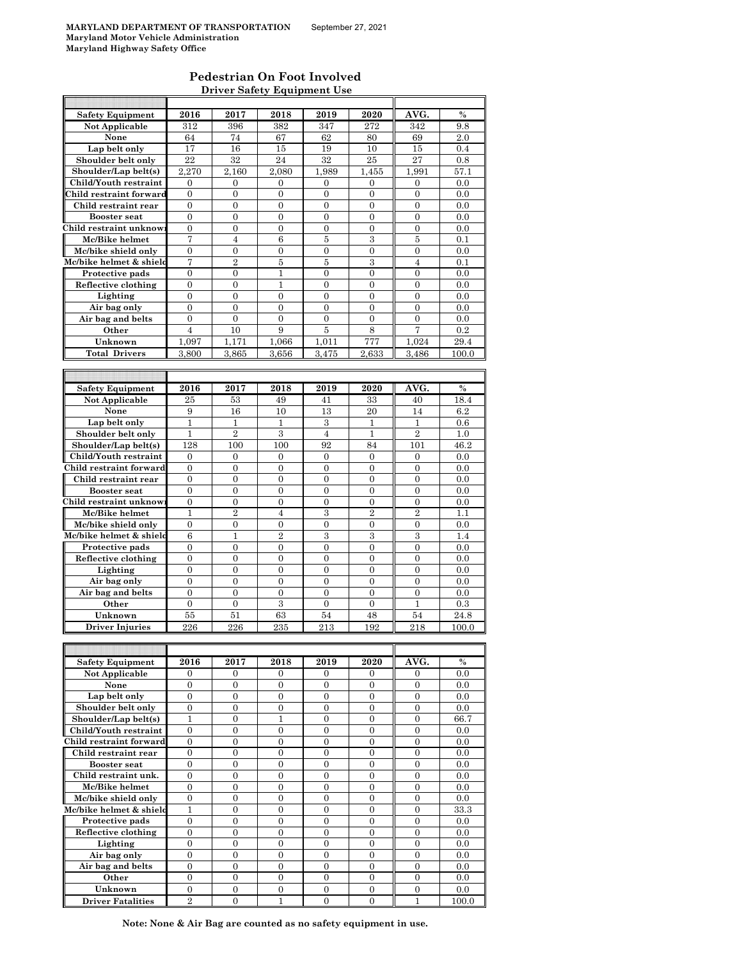#### **Pedestrian On Foot Involved Driver Safety Equipment Use**

| <b>Safety Equipment</b> | 2016             | 2017             | 2018             | 2019             | 2020             | AVG.             | %     |
|-------------------------|------------------|------------------|------------------|------------------|------------------|------------------|-------|
| <b>Not Applicable</b>   | 312              | 396              | 382              | 347              | 272              | 342              | 9.8   |
| None                    | 64               | 74               | 67               | 62               | 80               | 69               | 2.0   |
| Lap belt only           | 17               | 16               | 15               | 19               | 10               | 15               | 0.4   |
| Shoulder belt only      | $\bf{22}$        | 32               | 24               | 32               | 25               | 27               | 0.8   |
| Shoulder/Lap belt(s)    | 2,270            | 2.160            | 2,080            | 1,989            | 1,455            | 1,991            | 57.1  |
| Child/Youth restraint   | $\mathbf{0}$     | $\overline{0}$   | $\overline{0}$   | $\overline{0}$   | $\overline{0}$   | $\overline{0}$   | 0.0   |
| Child restraint forward | 0                | 0                | $\mathbf{0}$     | $\overline{0}$   | $\mathbf{0}$     | $\mathbf{0}$     | 0.0   |
| Child restraint rear    | $\overline{0}$   | $\overline{0}$   | $\overline{0}$   | $\boldsymbol{0}$ | 0                | $\boldsymbol{0}$ | 0.0   |
| <b>Booster</b> seat     | 0                | 0                | $\boldsymbol{0}$ | 0                | $\overline{0}$   | $\overline{0}$   | 0.0   |
| Child restraint unknow  | $\overline{0}$   | $\overline{0}$   | $\overline{0}$   | $\boldsymbol{0}$ | $\boldsymbol{0}$ | $\overline{0}$   | 0.0   |
| Mc/Bike helmet          | 7                | 4                | 6                | 5                | 3                | 5                | 0.1   |
| Mc/bike shield only     | $\overline{0}$   | $\overline{0}$   | $\overline{0}$   | $\overline{0}$   | $\overline{0}$   | $\overline{0}$   | 0.0   |
| Mc/bike helmet & shield | 7                | $\overline{2}$   | 5                | 5                | $\boldsymbol{3}$ | 4                | 0.1   |
|                         | $\overline{0}$   | $\overline{0}$   | $\mathbf{1}$     | $\overline{0}$   | $\overline{0}$   | $\overline{0}$   |       |
| Protective pads         |                  |                  |                  |                  |                  |                  | 0.0   |
| Reflective clothing     | $\mathbf{0}$     | 0                | 1                | 0                | $\boldsymbol{0}$ | 0                | 0.0   |
| Lighting                | 0                | 0                | $\overline{0}$   | $\overline{0}$   | 0                | $\overline{0}$   | 0.0   |
| Air bag only            | $\overline{0}$   | $\overline{0}$   | $\overline{0}$   | $\overline{0}$   | $\overline{0}$   | $\overline{0}$   | 0.0   |
| Air bag and belts       | $\boldsymbol{0}$ | $\overline{0}$   | $\overline{0}$   | $\boldsymbol{0}$ | $\overline{0}$   | $\overline{0}$   | 0.0   |
| Other                   | $\overline{4}$   | 10               | 9                | 5                | 8                | 7                | 0.2   |
| Unknown                 | 1,097            | 1.171            | 1,066            | 1,011            | 777              | 1,024            | 29.4  |
| <b>Total Drivers</b>    | 3,800            | 3.865            | 3,656            | 3,475            | 2,633            | 3,486            | 100.0 |
|                         |                  |                  |                  |                  |                  |                  |       |
|                         |                  |                  |                  |                  |                  |                  |       |
| <b>Safety Equipment</b> | 2016             | 2017             | 2018             | 2019             | 2020             | AVG.             | $\%$  |
| <b>Not Applicable</b>   | 25               | 53               | 49               | 41               | 33               | 40               | 18.4  |
| None                    | 9                | 16               | 10               | 13               | 20               | 14               | 6.2   |
| Lap belt only           | $\mathbf{1}$     | $\mathbf{1}$     | $\mathbf{1}$     | 3                | $\mathbf{1}$     | $\mathbf{1}$     | 0.6   |
| Shoulder belt only      | 1                | $\overline{2}$   | 3                | $\overline{4}$   | $\mathbf{1}$     | $\overline{2}$   | 1.0   |
| Shoulder/Lap belt(s)    | 128              | 100              | 100              | 92               | 84               | 101              | 46.2  |
| Child/Youth restraint   | 0                | 0                | 0                | $\mathbf{0}$     | $\mathbf{0}$     | $\mathbf{0}$     | 0.0   |
| Child restraint forward | $\overline{0}$   | $\overline{0}$   | $\overline{0}$   | $\overline{0}$   | $\overline{0}$   | $\overline{0}$   | 0.0   |
| Child restraint rear    | $\boldsymbol{0}$ | $\boldsymbol{0}$ | 0                | 0                | 0                | 0                | 0.0   |
| <b>Booster seat</b>     | $\overline{0}$   | $\overline{0}$   | $\overline{0}$   | $\overline{0}$   | $\overline{0}$   | $\overline{0}$   | 0.0   |
| Child restraint unknow: | $\boldsymbol{0}$ | 0                | $\overline{0}$   | $\overline{0}$   | $\overline{0}$   | $\mathbf{0}$     | 0.0   |
| Mc/Bike helmet          | $\mathbf{1}$     | $\overline{2}$   | $\overline{4}$   | 3                | $\overline{2}$   | $\overline{2}$   | 1.1   |
|                         |                  |                  |                  |                  |                  |                  |       |
| Mc/bike shield only     | 0                | 0                | $\boldsymbol{0}$ | 0                | 0                | 0                | 0.0   |
| Mc/bike helmet & shield | 6                | 1                | $\overline{2}$   | 3                | 3                | 3                | 1.4   |
| Protective pads         | $\overline{0}$   | 0                | $\overline{0}$   | $\overline{0}$   | $\overline{0}$   | $\overline{0}$   | 0.0   |
| Reflective clothing     | $\mathbf{0}$     | 0                | $\overline{0}$   | $\overline{0}$   | $\overline{0}$   | $\overline{0}$   | 0.0   |
| Lighting                | $\overline{0}$   | $\overline{0}$   | $\overline{0}$   | $\overline{0}$   | $\overline{0}$   | $\overline{0}$   | 0.0   |
| Air bag only            | $\mathbf{0}$     | 0                | $\boldsymbol{0}$ | 0                | $\boldsymbol{0}$ | $\overline{0}$   | 0.0   |
| Air bag and belts       | $\overline{0}$   | $\overline{0}$   | $\overline{0}$   | $\overline{0}$   | $\overline{0}$   | $\overline{0}$   | 0.0   |
| Other                   | $\boldsymbol{0}$ | $\overline{0}$   | $\,3$            | $\overline{0}$   | $\overline{0}$   | $\mathbf{1}$     | 0.3   |
| Unknown                 | 55               | 51               | 63               | 54               | 48               | 54               | 24.8  |
| <b>Driver Injuries</b>  | 226              | 226              | 235              | 213              | 192              | 218              | 100.0 |
|                         |                  |                  |                  |                  |                  |                  |       |
|                         |                  |                  |                  |                  |                  |                  |       |
| <b>Safety Equipment</b> | 2016             | 2017             | 2018             | 2019             | 2020             | AVG.             | $\%$  |
| Not Applicable          | 0                | 0                | 0                | 0                | 0                | 0                | 0.0   |
| None                    | $\boldsymbol{0}$ | $\boldsymbol{0}$ | $\boldsymbol{0}$ | $\boldsymbol{0}$ | $\boldsymbol{0}$ | $\boldsymbol{0}$ | 0.0   |
| Lap belt only           | 0                | 0                | 0                | 0                | 0                | 0                | 0.0   |
| Shoulder belt only      | $\overline{0}$   | $\mathbf{0}$     | $\mathbf{0}$     | $\overline{0}$   | $\boldsymbol{0}$ | $\boldsymbol{0}$ | 0.0   |
| Shoulder/Lap belt(s)    | 1                | $\boldsymbol{0}$ | 1                | $\boldsymbol{0}$ | $\mathbf{0}$     | 0                | 66.7  |
| Child/Youth restraint   | $\mathbf{0}$     | $\boldsymbol{0}$ | $\boldsymbol{0}$ | $\boldsymbol{0}$ | $\boldsymbol{0}$ | $\boldsymbol{0}$ | 0.0   |
| Child restraint forward | $\boldsymbol{0}$ | 0                | $\boldsymbol{0}$ | 0                | $\boldsymbol{0}$ | $\boldsymbol{0}$ | 0.0   |
| Child restraint rear    | $\boldsymbol{0}$ | $\overline{0}$   | $\overline{0}$   | $\overline{0}$   | $\overline{0}$   | $\overline{0}$   | 0.0   |
| <b>Booster</b> seat     | $\boldsymbol{0}$ | 0                | $\boldsymbol{0}$ | 0                | $\boldsymbol{0}$ | $\boldsymbol{0}$ | 0.0   |
| Child restraint unk.    | 0                | 0                | $\boldsymbol{0}$ | 0                | $\overline{0}$   | $\boldsymbol{0}$ | 0.0   |
| Mc/Bike helmet          | $\boldsymbol{0}$ | $\boldsymbol{0}$ | $\boldsymbol{0}$ | 0                | $\boldsymbol{0}$ | $\boldsymbol{0}$ | 0.0   |
| Mc/bike shield only     | $\boldsymbol{0}$ | $\boldsymbol{0}$ | $\boldsymbol{0}$ | 0                | $\boldsymbol{0}$ | $\boldsymbol{0}$ | 0.0   |
|                         | 1                | $\overline{0}$   | $\mathbf{0}$     | $\overline{0}$   | $\overline{0}$   | $\overline{0}$   | 33.3  |
| Mc/bike helmet & shield |                  |                  |                  |                  |                  |                  |       |
| Protective pads         | $\mathbf{0}$     | 0                | $\boldsymbol{0}$ | 0                | $\boldsymbol{0}$ | $\overline{0}$   | 0.0   |
| Reflective clothing     | $\mathbf{0}$     | $\overline{0}$   | $\boldsymbol{0}$ | 0                | $\overline{0}$   | $\overline{0}$   | 0.0   |
| Lighting                | $\boldsymbol{0}$ | 0                | $\mathbf{0}$     | $\overline{0}$   | $\overline{0}$   | $\overline{0}$   | 0.0   |
| Air bag only            | $\overline{0}$   | $\overline{0}$   | $\overline{0}$   | $\overline{0}$   | $\overline{0}$   | $\overline{0}$   | 0.0   |
| Air bag and belts       | $\overline{0}$   | $\overline{0}$   | $\overline{0}$   | 0                | $\boldsymbol{0}$ | $\boldsymbol{0}$ | 0.0   |
| Other                   |                  |                  |                  |                  |                  |                  |       |
|                         | 0                | 0                | $\boldsymbol{0}$ | 0                | $\overline{0}$   | $\boldsymbol{0}$ | 0.0   |
| Unknown                 | $\boldsymbol{0}$ | $\overline{0}$   | 0                | $\overline{0}$   | $\boldsymbol{0}$ | $\boldsymbol{0}$ | 0.0   |

**Note: None & Air Bag are counted as no safety equipment in use.**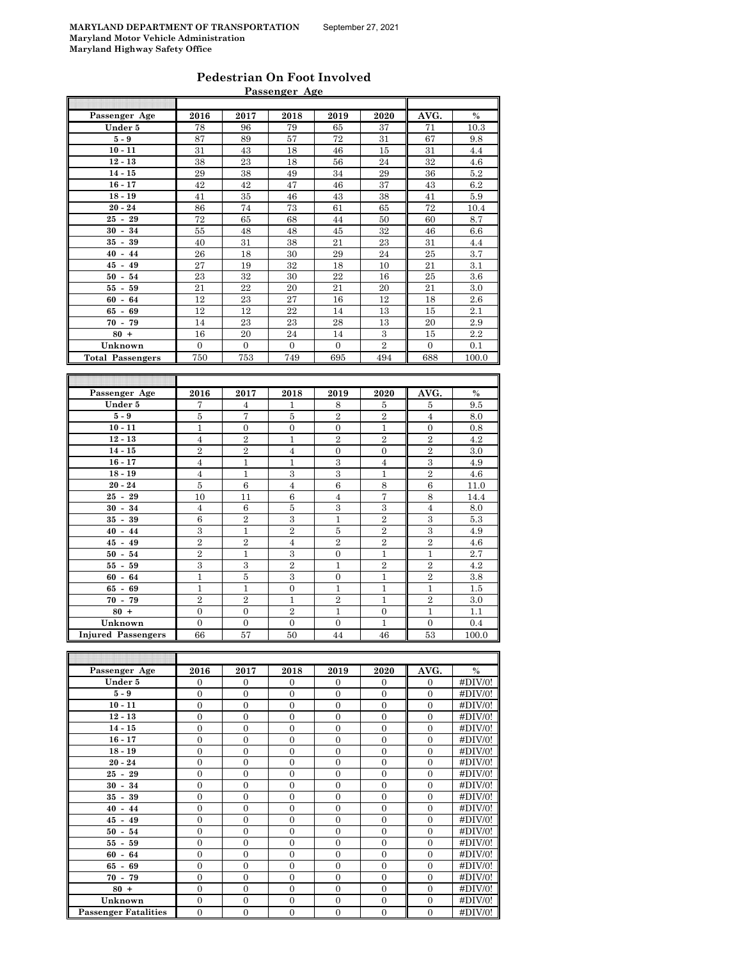| Pedestrian On Foot Involved |  |
|-----------------------------|--|
| Passenger Age               |  |

|                         |                                    |                  | <u>Passenger Age</u>    |                         |                   |                     |               |
|-------------------------|------------------------------------|------------------|-------------------------|-------------------------|-------------------|---------------------|---------------|
|                         |                                    |                  |                         |                         |                   |                     |               |
| Passenger Age           | 2016                               | 2017             | 2018                    | 2019                    | 2020              | AVG.                | $\frac{0}{0}$ |
| Under 5                 | 78                                 | 96               | 79                      | 65                      | 37                | 71                  | 10.3          |
| $5-9$                   | 87                                 | 89               | 57                      | 72                      | 31                | 67                  | 9.8           |
| $10 - 11$               | 31                                 | 43               | 18                      | 46                      | 15                | 31                  | 4.4           |
| $12 - 13$               | 38                                 | 23               | 18                      | 56                      | 24                | 32                  | 4.6           |
| $14 - 15$               | 29                                 | 38               | 49                      | 34                      | 29                | 36                  | $5.2\,$       |
| $16 - 17$               | 42                                 | 42               | 47                      | 46                      | 37                | 43                  | 6.2           |
| $18 - 19$               | 41                                 | 35               | 46                      | 43                      | 38                | 41                  | 5.9           |
| $20 - 24$               | 86                                 | 74               | 73                      | 61                      | 65                | 72                  | 10.4          |
| $25 - 29$               | 72                                 | 65               | 68                      | 44                      | 50                | 60                  | 8.7           |
| $30 - 34$               | 55                                 | 48               | 48                      | 45                      | 32                | 46                  | 6.6           |
| $35 - 39$               | 40                                 | 31               | 38                      | 21                      | 23                | 31                  | 4.4           |
| $40 - 44$               | 26                                 | 18               | 30                      | 29                      | 24                | 25                  | 3.7           |
| $45 - 49$               | 27                                 | 19               | 32                      | 18                      | 10                | 21                  | 3.1           |
| $50 - 54$               | 23                                 | 32               | 30                      | 22                      | 16                | 25                  | 3.6           |
| $55 - 59$               | 21                                 | 22               | 20                      | 21                      | 20                | 21                  | 3.0           |
| $60 - 64$               | 12                                 | 23               | 27                      | 16                      | 12                | 18                  | 2.6           |
| $65 - 69$               | 12                                 | 12               | 22                      | 14                      | 13                | 15                  | 2.1           |
| $70 - 79$               | 14                                 | 23               | 23                      | 28                      | 13                | 20                  | 2.9           |
| $80 +$                  | 16                                 | 20               | 24                      | 14                      | $\,3$             | 15                  | 2.2           |
| Unknown                 | $\overline{0}$                     | $\mathbf{0}$     | $\overline{0}$          | $\mathbf{0}$            | $\overline{2}$    | $\mathbf{0}$        | 0.1           |
| <b>Total Passengers</b> | 750                                | 753              | 749                     | 695                     | 494               | 688                 | 100.0         |
|                         |                                    |                  |                         |                         |                   |                     |               |
|                         |                                    |                  |                         |                         |                   |                     |               |
|                         |                                    |                  |                         |                         |                   |                     |               |
| Passenger Age           | 2016                               | 2017             | 2018                    | 2019                    | 2020              | AVG.                | %             |
| Under 5                 | 7                                  | $\overline{4}$   | $\mathbf{1}$            | 8                       | 5                 | 5                   | 9.5           |
| $5-9$                   | $\bf 5$                            | 7                | 5                       | $\,2$                   | $\,2$             | $\overline{4}$      | 8.0           |
| $10 - 11$               | $\mathbf{1}$                       | $\boldsymbol{0}$ | $\boldsymbol{0}$        | $\boldsymbol{0}$        | $\mathbf{1}$      | $\mathbf{0}$        | 0.8           |
| $12 - 13$               | $\overline{4}$                     | $\overline{2}$   | $\,1\,$                 | $\overline{2}$          | $\overline{2}$    | $\overline{2}$      | 4.2           |
| $14 - 15$               | $\overline{2}$                     | $\overline{2}$   | $\overline{4}$          | $\boldsymbol{0}$        | $\boldsymbol{0}$  | $\,2$               | 3.0           |
| $16 - 17$               | $\overline{4}$                     | $\mathbf{1}$     | $\mathbf{1}$            | 3                       | $\overline{4}$    | $\boldsymbol{3}$    | 4.9           |
| $18 - 19$               | $\overline{4}$                     | $\mathbf 1$      | $\,3\,$                 | $\,3\,$                 | $\mathbf{1}$      | $\overline{2}$      | 4.6           |
| $20 - 24$               | $\bf 5$                            | $\,6$            | $\overline{4}$          | $\,6$                   | 8                 | $\overline{6}$      | 11.0          |
| $25 - 29$               | 10                                 | 11               | 6                       | $\overline{\mathbf{4}}$ | $\scriptstyle{7}$ | $\,$ 8 $\,$         | 14.4          |
| $30 - 34$               | $\overline{4}$                     | 6                | $\bf 5$                 | 3                       | 3                 | $\overline{4}$      | 8.0           |
| $35 - 39$               | $\,6$                              | $\overline{2}$   | $\,3$                   | 1                       | $\boldsymbol{2}$  | $\,3$               | 5.3           |
| $40 - 44$               | 3                                  | 1                | $\overline{2}$          | $\bf 5$                 | $\overline{2}$    | 3                   | 4.9           |
| $45 - 49$               | $\overline{2}$                     | $\overline{2}$   | $\overline{4}$          | $\overline{2}$          | $\overline{2}$    | $\overline{2}$      | 4.6           |
| $50 - 54$               | $\,2$                              | $\mathbf 1$      | $\,3\,$                 | $\boldsymbol{0}$        | $\mathbf{1}$      | $\mathbf 1$         | 2.7           |
| $55 - 59$               | 3                                  | $\,3$            | $\overline{2}$          | 1                       | $\overline{2}$    | $\overline{2}$      | 4.2           |
| $60 - 64$               | $\mathbf{1}$                       | $\bf 5$          | 3                       | $\boldsymbol{0}$        | $\mathbf{1}$      | $\overline{2}$      | 3.8           |
| $65 - 69$               | $\mathbf{1}$                       | $\mathbf{1}$     | $\overline{0}$          | $\mathbf{1}$            | $\mathbf{1}$      | $\mathbf{1}$        | 1.5           |
| $70 - 79$               |                                    | $\overline{2}$   |                         |                         | $\mathbf{1}$      |                     |               |
| $80 +$                  | $\overline{2}$<br>$\boldsymbol{0}$ | $\boldsymbol{0}$ | $\,1$<br>$\overline{2}$ | $\,2$<br>1              | $\boldsymbol{0}$  | $\overline{2}$<br>1 | 3.0<br>1.1    |
| Unknown                 | $\overline{0}$                     | $\overline{0}$   | $\overline{0}$          | $\mathbf{0}$            | $\mathbf{1}$      | $\overline{0}$      | 0.4           |

| Passenger Age               | 2016           | 2017           | 2018           | 2019         | 2020           | AVG.         | $\%$    |
|-----------------------------|----------------|----------------|----------------|--------------|----------------|--------------|---------|
| Under 5                     | $\mathbf{0}$   | $\mathbf{0}$   | $\mathbf{0}$   | $\mathbf{0}$ | $\mathbf{0}$   | $\mathbf{0}$ | #DIV/0! |
| $5-9$                       | $\Omega$       | $\Omega$       | $\Omega$       | $\Omega$     | $\Omega$       | $\Omega$     | #DIV/0! |
| $10 - 11$                   | $\Omega$       | $\Omega$       | $\Omega$       | $\Omega$     | $\mathbf{0}$   | $\Omega$     | #DIV/0! |
| $12 - 13$                   | $\Omega$       | $\Omega$       | $\Omega$       | $\Omega$     | $\Omega$       | $\Omega$     | #DIV/0! |
| $14 - 15$                   | $\Omega$       | $\Omega$       | $\Omega$       | $\Omega$     | $\Omega$       | $\Omega$     | #DIV/0! |
| $16 - 17$                   | $\overline{0}$ | $\Omega$       | $\overline{0}$ | $\mathbf{0}$ | $\overline{0}$ | $\Omega$     | #DIV/0! |
| $18 - 19$                   | $\overline{0}$ | $\mathbf{0}$   | $\mathbf{0}$   | $\mathbf{0}$ | $\mathbf{0}$   | $\Omega$     | #DIV/0! |
| $20 - 24$                   | $\Omega$       | $\Omega$       | $\Omega$       | $\Omega$     | $\Omega$       | $\Omega$     | #DIV/0! |
| $25 - 29$                   | $\overline{0}$ | $\overline{0}$ | $\overline{0}$ | $\mathbf{0}$ | $\mathbf{0}$   | $\Omega$     | #DIV/0! |
| $30 - 34$                   | $\Omega$       | $\Omega$       | $\Omega$       | $\Omega$     | $\Omega$       | $\Omega$     | #DIV/0! |
| $35 - 39$                   | $\Omega$       | $\theta$       | $\theta$       | $\theta$     | $\Omega$       | $\Omega$     | #DIV/0! |
| $40 - 44$                   | $\overline{0}$ | $\Omega$       | $\Omega$       | $\Omega$     | $\overline{0}$ | $\Omega$     | #DIV/0! |
| $45 - 49$                   | $\Omega$       | $\Omega$       | $\Omega$       | $\Omega$     | $\mathbf{0}$   | $\Omega$     | #DIV/0! |
| $50 - 54$                   | $\overline{0}$ | $\Omega$       | $\Omega$       | $\Omega$     | $\mathbf{0}$   | $\Omega$     | #DIV/0! |
| $55 - 59$                   | $\mathbf{0}$   | $\Omega$       | $\Omega$       | $\Omega$     | $\Omega$       | $\Omega$     | #DIV/0! |
| $60 - 64$                   | $\Omega$       | $\Omega$       | $\Omega$       | $\Omega$     | $\Omega$       | $\Omega$     | #DIV/0! |
| $65 - 69$                   | $\theta$       | $\Omega$       | $\Omega$       | $\Omega$     | $\Omega$       | $\Omega$     | #DIV/0! |
| $70 - 79$                   | $\Omega$       | $\mathbf{0}$   | $\Omega$       | $\Omega$     | $\mathbf{0}$   | $\Omega$     | #DIV/0! |
| $80 +$                      | $\Omega$       | $\Omega$       | $\Omega$       | $\Omega$     | $\Omega$       | $\Omega$     | #DIV/0! |
| Unknown                     | $\overline{0}$ | $\overline{0}$ | $\overline{0}$ | $\mathbf{0}$ | $\mathbf{0}$   | $\mathbf{0}$ | #DIV/0! |
| <b>Passenger Fatalities</b> | $\overline{0}$ | $\overline{0}$ | $\overline{0}$ | $\mathbf{0}$ | $\mathbf{0}$   | $\mathbf{0}$ | #DIV/0! |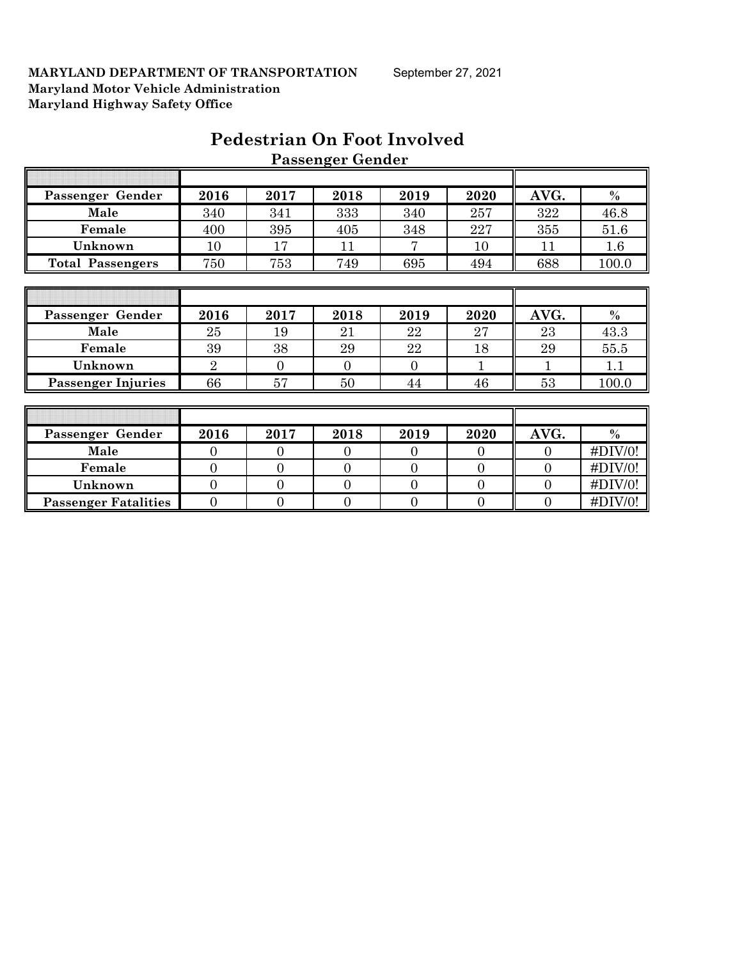|                             |                  |                | r assenger achaer |                  |                |                |             |
|-----------------------------|------------------|----------------|-------------------|------------------|----------------|----------------|-------------|
|                             |                  |                |                   |                  |                |                |             |
| Passenger Gender            | 2016             | 2017           | 2018              | 2019             | 2020           | AVG.           | $\%$        |
| Male                        | 340              | 341            | 333               | 340              | 257            | 322            | 46.8        |
| Female                      | 400              | 395            | 405               | 348              | 227            | 355            | 51.6        |
| Unknown                     | 10               | 17             | 11                | 7                | 10             | 11             | 1.6         |
| <b>Total Passengers</b>     | 750              | 753            | 749               | 695              | 494            | 688            | 100.0       |
|                             |                  |                |                   |                  |                |                |             |
|                             |                  |                |                   |                  |                |                |             |
| Passenger Gender            | 2016             | 2017           | 2018              | 2019             | 2020           | AVG.           | $\%$        |
| Male                        | 25               | 19             | 21                | 22               | 27             | 23             | 43.3        |
| Female                      | 39               | 38             | 29                | 22               | 18             | 29             | 55.5        |
| Unknown                     | $\overline{2}$   | $\overline{0}$ | $\overline{0}$    | $\overline{0}$   |                |                | 1.1         |
| <b>Passenger Injuries</b>   | 66               | 57             | 50                | 44               | 46             | 53             | 100.0       |
|                             |                  |                |                   |                  |                |                |             |
|                             |                  |                |                   |                  |                |                |             |
| Passenger Gender            | 2016             | 2017           | 2018              | 2019             | 2020           | AVG.           | $\%$        |
| Male                        | $\mathbf{0}$     | $\mathbf{0}$   | $\mathbf{0}$      | $\overline{0}$   | $\overline{0}$ | $\overline{0}$ | #DIV/0!     |
| Female                      | $\overline{0}$   | $\mathbf{0}$   | $\overline{0}$    | $\overline{0}$   | $\overline{0}$ | $\overline{0}$ | #DIV/0!     |
| Unknown                     | $\overline{0}$   | $\mathbf{0}$   | $\overline{0}$    | $\overline{0}$   | $\overline{0}$ | $\overline{0}$ | #DIV/0!     |
| <b>Passenger Fatalities</b> | $\boldsymbol{0}$ | $\mathbf{0}$   | $\mathbf{0}$      | $\boldsymbol{0}$ | $\overline{0}$ | $\overline{0}$ | $\#$ DIV/0! |

## **Pedestrian On Foot Involved Passenger Gender**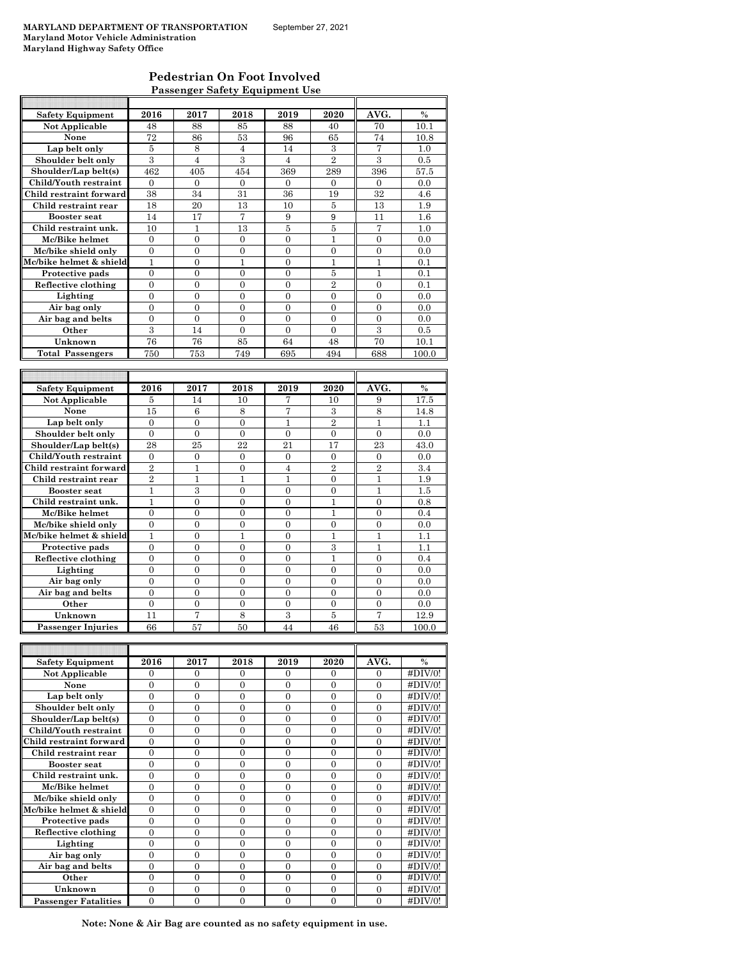F

#### **Pedestrian On Foot Involved Passenger Safety Equipment Use**

| <b>Safety Equipment</b>        | 2016             | 2017             | 2018             | 2019             | 2020             | AVG.             | $\frac{0}{0}$ |
|--------------------------------|------------------|------------------|------------------|------------------|------------------|------------------|---------------|
| Not Applicable                 | 48               | 88               | 85               | 88               | 40               | 70               | 10.1          |
| None                           | 72               | 86               | 53               | 96               | 65               | 74               | 10.8          |
| Lap belt only                  | 5                | 8                | $\overline{4}$   | 14               | 3                | 7                | 1.0           |
| Shoulder belt only             | 3                | $\overline{4}$   | 3                | 4                | $\overline{2}$   | 3                | 0.5           |
| Shoulder/Lap belt(s)           | 462              | 405              | 454              | 369              | 289              | 396              | 57.5          |
| Child/Youth restraint          | 0                | 0                | $\mathbf{0}$     | $\mathbf{0}$     | 0                | $\mathbf{0}$     | 0.0           |
| Child restraint forward        | 38               | 34               | 31               | 36               | 19               | 32               | 4.6           |
| Child restraint rear           | 18               | 20               | 13               | 10               | 5                | 13               | 1.9           |
| <b>Booster seat</b>            | 14               | 17               | 7                | 9                | 9                | 11               | 1.6           |
| Child restraint unk.           |                  |                  |                  |                  |                  |                  |               |
|                                | 10               | 1                | 13               | 5                | 5                | 7                | 1.0           |
| Mc/Bike helmet                 | $\mathbf{0}$     | $\overline{0}$   | $\mathbf{0}$     | $\overline{0}$   | 1                | $\overline{0}$   | 0.0           |
| Mc/bike shield only            | $\overline{0}$   | $\overline{0}$   | $\overline{0}$   | $\mathbf{0}$     | $\overline{0}$   | $\overline{0}$   | 0.0           |
| Mc/bike helmet & shield        | 1                | $\boldsymbol{0}$ | 1                | $\boldsymbol{0}$ | 1                | 1                | 0.1           |
| Protective pads                | $\overline{0}$   | $\overline{0}$   | $\overline{0}$   | $\overline{0}$   | 5                | 1                | 0.1           |
| Reflective clothing            | 0                | $\boldsymbol{0}$ | $\boldsymbol{0}$ | $\overline{0}$   | $\overline{2}$   | 0                | 0.1           |
| Lighting                       | $\overline{0}$   | $\overline{0}$   | $\overline{0}$   | $\overline{0}$   | $\overline{0}$   | $\overline{0}$   | 0.0           |
| Air bag only                   | $\overline{0}$   | $\overline{0}$   | $\overline{0}$   | $\overline{0}$   | $\overline{0}$   | $\overline{0}$   | 0.0           |
| Air bag and belts              | $\overline{0}$   | $\overline{0}$   | $\overline{0}$   | $\overline{0}$   | $\theta$         | $\overline{0}$   | 0.0           |
| Other                          | $\overline{3}$   | 14               | $\boldsymbol{0}$ | $\boldsymbol{0}$ | $\overline{0}$   | $\overline{3}$   | 0.5           |
| Unknown                        | 76               | 76               | 85               | 64               | 48               | 70               | 10.1          |
| <b>Total Passengers</b>        | 750              | 753              | 749              | 695              | 494              | 688              | 100.0         |
|                                |                  |                  |                  |                  |                  |                  |               |
|                                |                  |                  |                  |                  |                  |                  |               |
| <b>Safety Equipment</b>        | 2016             | 2017             | 2018             | 2019             | 2020             | AVG.             | $\%$          |
| Not Applicable                 | 5                | 14               | 10               | 7                | 10               | 9                | 17.5          |
| None                           | 15               | $\,6$            | 8                | 7                | 3                | 8                | 14.8          |
| Lap belt only                  | $\boldsymbol{0}$ | 0                | $\mathbf{0}$     | 1                | $\overline{2}$   | 1                | 1.1           |
| Shoulder belt only             | $\overline{0}$   | $\overline{0}$   | $\overline{0}$   | $\overline{0}$   | $\mathbf{0}$     | $\overline{0}$   | 0.0           |
| Shoulder/Lap belt(s)           | 28               | 25               | 22               | 21               | 17               | 23               | 43.0          |
| Child/Youth restraint          | $\overline{0}$   | $\overline{0}$   | $\overline{0}$   | $\overline{0}$   | $\Omega$         | $\overline{0}$   | 0.0           |
|                                |                  |                  |                  |                  |                  |                  |               |
| Child restraint forward        | $\overline{2}$   | $\mathbf 1$      | $\boldsymbol{0}$ | $\overline{4}$   | $\overline{2}$   | $\overline{2}$   | 3.4           |
| Child restraint rear           | $\overline{2}$   | $\mathbf{1}$     | $\mathbf{1}$     | 1                | $\overline{0}$   | $\mathbf{1}$     | 1.9           |
| <b>Booster</b> seat            | 1                | 3                | $\overline{0}$   | $\overline{0}$   | $\overline{0}$   | $\mathbf{1}$     | 1.5           |
| Child restraint unk.           | 1                | 0                | 0                | $\boldsymbol{0}$ | 1                | 0                | 0.8           |
| Mc/Bike helmet                 | $\overline{0}$   | $\overline{0}$   | $\overline{0}$   | $\overline{0}$   | 1                | $\overline{0}$   | 0.4           |
| Mc/bike shield only            | 0                | $\boldsymbol{0}$ | $\boldsymbol{0}$ | $\boldsymbol{0}$ | 0                | 0                | 0.0           |
| Mc/bike helmet & shield        | $\mathbf{1}$     | $\overline{0}$   | $\mathbf{1}$     | $\overline{0}$   | 1                | $\mathbf{1}$     | 1.1           |
| Protective pads                | $\overline{0}$   | $\overline{0}$   | $\overline{0}$   | $\overline{0}$   | 3                | $\mathbf{1}$     | 1.1           |
| Reflective clothing            | 0                | 0                | $\overline{0}$   | $\overline{0}$   | $\mathbf{1}$     | $\Omega$         | 0.4           |
| Lighting                       | $\boldsymbol{0}$ | $\boldsymbol{0}$ | $\boldsymbol{0}$ | $\mathbf{0}$     | $\mathbf{0}$     | $\boldsymbol{0}$ | 0.0           |
| Air bag only                   | $\boldsymbol{0}$ | 0                | $\boldsymbol{0}$ | $\boldsymbol{0}$ | 0                | 0                | 0.0           |
| Air bag and belts              | $\overline{0}$   | $\overline{0}$   | $\overline{0}$   | $\overline{0}$   | $\overline{0}$   | $\overline{0}$   | 0.0           |
| Other                          | 0                | 0                | 0                | $\boldsymbol{0}$ | 0                | 0                | 0.0           |
| Unknown                        | 11               | 7                | 8                | 3                | 5                | 7                | 12.9          |
| <b>Passenger Injuries</b>      | 66               | 57               | 50               | 44               | 46               | 53               | 100.0         |
|                                |                  |                  |                  |                  |                  |                  |               |
|                                |                  |                  |                  |                  |                  |                  |               |
| <b>Safety Equipment</b>        | 2016             | 2017             | 2018             | 2019             | 2020             | AVG.             | $\%$          |
| Not Applicable                 | 0                | 0                | 0                | 0                | 0                | 0                | #DIV/0!       |
| None                           | 0                | $\boldsymbol{0}$ | $\boldsymbol{0}$ | $\boldsymbol{0}$ | 0                | 0                | #DIV/0!       |
|                                | $\overline{0}$   | $\overline{0}$   | $\overline{0}$   | $\mathbf{0}$     | $\overline{0}$   | $\overline{0}$   | #DIV/0!       |
| Lap belt only                  |                  |                  |                  |                  |                  |                  |               |
| Shoulder belt only             | $\boldsymbol{0}$ | $\boldsymbol{0}$ | $\boldsymbol{0}$ | $\boldsymbol{0}$ | 0                | 0                | #DIV/0!       |
| Shoulder/Lap belt(s)           | 0                | $\boldsymbol{0}$ | $\boldsymbol{0}$ | $\boldsymbol{0}$ | 0                | 0                | #DIV/0!       |
| Child/Youth restraint          | $\boldsymbol{0}$ | $\boldsymbol{0}$ | $\boldsymbol{0}$ | $\boldsymbol{0}$ | 0                | 0                | #DIV/0!       |
| <b>Child restraint forward</b> | $\boldsymbol{0}$ | $\boldsymbol{0}$ | $\boldsymbol{0}$ | $\boldsymbol{0}$ | 0                | 0                | #DIV/0!       |
| Child restraint rear           | $\boldsymbol{0}$ | $\boldsymbol{0}$ | $\boldsymbol{0}$ | $\boldsymbol{0}$ | $\boldsymbol{0}$ | 0                | #DIV/0!       |
| Booster seat                   | $\boldsymbol{0}$ | $\boldsymbol{0}$ | $\boldsymbol{0}$ | $\boldsymbol{0}$ | 0                | 0                | #DIV/0!       |
| Child restraint unk.           | $\overline{0}$   | $\overline{0}$   | $\overline{0}$   | $\mathbf{0}$     | $\overline{0}$   | $\overline{0}$   | #DIV/0!       |
| Mc/Bike helmet                 | $\overline{0}$   | $\overline{0}$   | $\overline{0}$   | $\mathbf{0}$     | $\overline{0}$   | $\overline{0}$   | #DIV/0!       |
| Mc/bike shield only            | $\overline{0}$   | $\overline{0}$   | $\overline{0}$   | $\mathbf{0}$     | $\overline{0}$   | $\overline{0}$   | #DIV/0!       |
| Mc/bike helmet & shield        | $\boldsymbol{0}$ | $\boldsymbol{0}$ | $\boldsymbol{0}$ | $\boldsymbol{0}$ | $\mathbf{0}$     | $\boldsymbol{0}$ | #DIV/0!       |
| Protective pads                | $\boldsymbol{0}$ | $\boldsymbol{0}$ | $\boldsymbol{0}$ | $\boldsymbol{0}$ | 0                | 0                | #DIV/0!       |
| Reflective clothing            | $\overline{0}$   | $\boldsymbol{0}$ | $\boldsymbol{0}$ | $\boldsymbol{0}$ | $\mathbf{0}$     | $\boldsymbol{0}$ | #DIV/0!       |
| Lighting                       | $\boldsymbol{0}$ | 0                | 0                | $\boldsymbol{0}$ | $\boldsymbol{0}$ | 0                | #DIV/0!       |
| Air bag only                   | $\boldsymbol{0}$ | $\boldsymbol{0}$ | $\boldsymbol{0}$ | $\mathbf{0}$     | $\mathbf{0}$     | $\overline{0}$   | #DIV/0!       |
| Air bag and belts              | $\boldsymbol{0}$ | $\boldsymbol{0}$ | $\boldsymbol{0}$ | $\boldsymbol{0}$ | 0                | 0                | #DIV/0!       |
| Other                          | $\overline{0}$   | $\overline{0}$   | $\overline{0}$   | $\mathbf{0}$     | $\overline{0}$   | $\overline{0}$   | #DIV/0!       |
|                                |                  |                  |                  |                  |                  |                  |               |

**Note: None & Air Bag are counted as no safety equipment in use.**

**Other**  $\begin{array}{|c|c|c|c|c|c|c|} \hline 0 & 0 & 0 & 0 & 0 & 0 & 0 & 0 & 0 & 0 \ \hline \end{array}$ **Unknown** 0 0 0 0 0 0 0 0 #DIV/0! **Passenger Fatalities** 0 0 0 0 0 0 0 0 1 #DIV/0!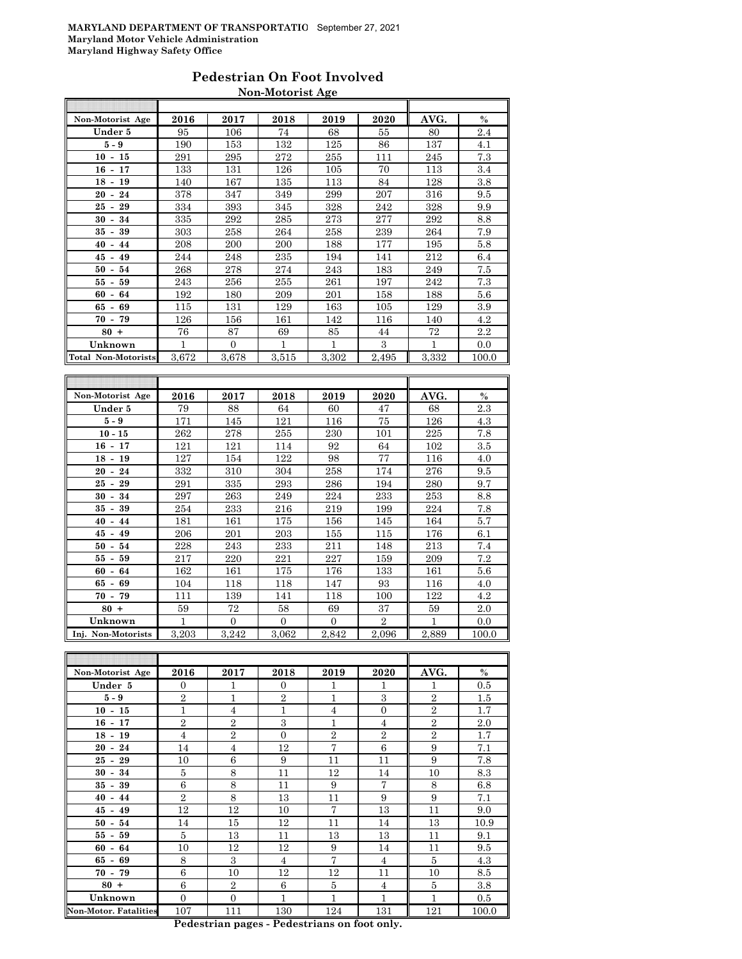#### **Pedestrian On Foot Involved Non-Motorist Age**

| Non-Motorist Age           | 2016  | 2017             | 2018             | 2019             | 2020       | AVG.         | $\%$  |
|----------------------------|-------|------------------|------------------|------------------|------------|--------------|-------|
| Under 5                    | 95    | 106              | 74               | 68               | 55         | 80           | 2.4   |
| $5 - 9$                    | 190   | 153              | 132              | 125              | 86         | 137          | 4.1   |
| $10 - 15$                  | 291   | 295              | 272              | 255              | 111        | 245          | 7.3   |
| $16 - 17$                  | 133   | 131              | 126              | 105              | 70         | 113          | 3.4   |
| $18 - 19$                  | 140   | 167              | 135              | 113              | 84         | 128          | 3.8   |
| 24<br>$20 -$               | 378   | 347              | 349              | 299              | 207        | 316          | 9.5   |
| 25<br>29<br>$\blacksquare$ | 334   | 393              | 345              | 328              | 242        | 328          | 9.9   |
| $30 - 34$                  | 335   | 292              | 285              | 273              | 277        | 292          | 8.8   |
| 39<br>$35 -$               | 303   | 258              | 264              | 258              | 239        | 264          | 7.9   |
| $40 - 44$                  | 208   | 200              | 200              | 188              | 177        | 195          | 5.8   |
| $45 - 49$                  | 244   | 248              | 235              | 194              | 141        | 212          | 6.4   |
| $50 - 54$                  | 268   | 278              | 274              | 243              | 183        | 249          | 7.5   |
| 55<br>59<br>$\blacksquare$ | 243   | 256              | 255              | 261              | 197        | 242          | 7.3   |
| $60 - 64$                  | 192   | 180              | 209              | 201              | 158        | 188          | 5.6   |
| 69<br>65<br>$\blacksquare$ | 115   | 131              | 129              | 163              | 105        | 129          | 3.9   |
| $70 - 79$                  | 126   | 156              | 161              | 142              | 116        | 140          | 4.2   |
| $80 +$                     | 76    | 87               | 69               | 85               | 44         | 72           | 2.2   |
| Unknown                    | 1     | $\Omega$         | 1                | 1                | 3          | $\mathbf{1}$ | 0.0   |
| <b>Total Non-Motorists</b> | 3.672 | 3,678            | 3.515            | 3.302            | 2.495      | 3.332        | 100.0 |
|                            |       |                  |                  |                  |            |              |       |
|                            |       |                  |                  |                  |            |              |       |
| Non-Motorist Age           | 2016  | 2017             | 2018             | 2019             | 2020       | AVG.         | $\%$  |
| Under 5                    | 79    | 88               | 64               | 60               | 47         | 68           | 2.3   |
| 5 - 9                      | 171   | 145              | 121              | 116              | 75         | 126          | 4.3   |
| $10 - 15$                  | 262   | 278              | 255              | 230              | 101        | 225          | 7.8   |
| $16 - 17$                  | 121   | 121              | 114              | 92               | 64         | 102          | 3.5   |
| $18 - 19$                  | 127   | 154              | 122              | 98               | 77         | 116          | 4.0   |
| $20 - 24$                  | 332   | 310              | 304              | 258              | 174        | 276          | 9.5   |
| $25 -$<br>29               | 291   | 335              | 293              | 286              | 194        | 280          | 9.7   |
| $30 -$<br>34               | 297   | 263              | 249              | 224              | 233        | 253          | 8.8   |
| $35 - 39$                  | 254   | 233              | 216              | 219              | 199        | 224          | 7.8   |
| $40 - 44$                  | 181   | 161              | 175              | 156              | 145        | 164          | 5.7   |
| 45<br>49<br>$\blacksquare$ | 206   | 201              | 203              | 155              | 115        | 176          | 6.1   |
| $50 -$<br>54               | 228   | 243              | 233              | 211              | 148        | 213          | 7.4   |
| $55 -$<br>59               | 217   | 220              | 221              | 227              | 159        | 209          | 7.2   |
| 60<br>64<br>$\blacksquare$ | 162   | 161              | 175              | 176              | 133        | 161          | 5.6   |
| 69<br>65 -                 | 104   | 118              | 118              | 147              | 93         | 116          | 4.0   |
| $70 - 79$                  | 111   | 139              | 141              | 118              | 100        | 122          | 4.2   |
| $80 +$                     | 59    | 72               | 58               | 69               | 37         | 59           | 2.0   |
| Unknown                    | 1     | $\boldsymbol{0}$ | $\boldsymbol{0}$ | $\boldsymbol{0}$ | $\sqrt{2}$ | $\mathbf{1}$ | 0.0   |
| Ini. Non-Motorists         | 3,203 | 3,242            | 3.062            | 2,842            | 2,096      | 2,889        | 100.0 |
|                            |       |                  |                  |                  |            |              |       |

| Non-Motorist Age             | 2016           | 2017           | 2018           | 2019           | 2020           | AVG.           | $\%$  |
|------------------------------|----------------|----------------|----------------|----------------|----------------|----------------|-------|
| Under 5                      | $\Omega$       | 1              | $\Omega$       | 1              | 1              | $\mathbf{1}$   | 0.5   |
| $5-9$                        | $\overline{2}$ | $\mathbf{1}$   | $\overline{2}$ | $\mathbf{1}$   | 3              | $\overline{2}$ | 1.5   |
| $10 - 15$                    | $\mathbf{1}$   | $\overline{4}$ | 1              | $\overline{4}$ | $\overline{0}$ | $\overline{2}$ | 1.7   |
| $16 - 17$                    | $\overline{2}$ | $\overline{2}$ | 3              | $\mathbf{1}$   | $\overline{4}$ | $\overline{2}$ | 2.0   |
| $18 - 19$                    | $\overline{4}$ | $\overline{2}$ | $\Omega$       | $\mathbf{2}$   | $\overline{2}$ | $\mathbf{2}$   | 1.7   |
| $20 - 24$                    | 14             | $\overline{4}$ | 12             | $\overline{7}$ | 6              | 9              | 7.1   |
| $25 - 29$                    | 10             | 6              | 9              | 11             | 11             | 9              | 7.8   |
| $30 - 34$                    | 5              | 8              | 11             | 12             | 14             | 10             | 8.3   |
| $35 - 39$                    | 6              | 8              | 11             | 9              | $\overline{7}$ | 8              | 6.8   |
| $40 - 44$                    | $\overline{2}$ | 8              | 13             | 11             | 9              | 9              | 7.1   |
| $45 - 49$                    | 12             | 12             | 10             | $\overline{7}$ | 13             | 11             | 9.0   |
| $50 - 54$                    | 14             | 15             | 12             | 11             | 14             | 13             | 10.9  |
| $55 - 59$                    | 5              | 13             | 11             | 13             | 13             | 11             | 9.1   |
| $60 - 64$                    | 10             | 12             | 12             | 9              | 14             | 11             | 9.5   |
| $65 - 69$                    | 8              | $\mathcal{S}$  | $\overline{4}$ | 7              | $\overline{4}$ | 5              | 4.3   |
| $70 - 79$                    | 6              | 10             | 12             | 12             | 11             | 10             | 8.5   |
| $80 +$                       | 6              | $\overline{2}$ | 6              | 5              | $\overline{4}$ | 5              | 3.8   |
| Unknown                      | $\overline{0}$ | $\mathbf{0}$   | $\mathbf{1}$   | 1              | 1              | 1              | 0.5   |
| <b>Non-Motor. Fatalities</b> | 107            | 111            | 130            | 124            | 131            | 121            | 100.0 |

**Pedestrian pages - Pedestrians on foot only.**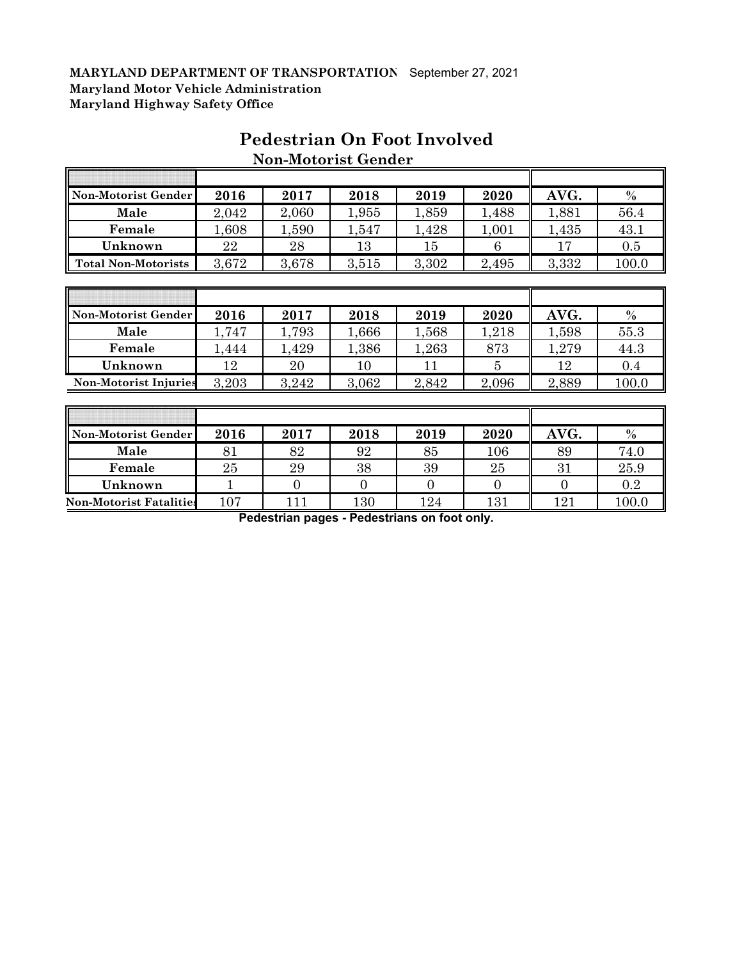| Non-Motorist Gender          | 2016  | 2017  | 2018  | 2019  | 2020  | AVG.  | $\%$  |
|------------------------------|-------|-------|-------|-------|-------|-------|-------|
| Male                         | 2,042 | 2,060 | 1,955 | 1,859 | 1,488 | 1,881 | 56.4  |
| Female                       | 1,608 | 1,590 | 1,547 | 1,428 | 1,001 | 1,435 | 43.1  |
| Unknown                      | 22    | 28    | 13    | 15    | 6     | 17    | 0.5   |
| <b>Total Non-Motorists</b>   | 3,672 | 3,678 | 3,515 | 3,302 | 2,495 | 3,332 | 100.0 |
|                              |       |       |       |       |       |       |       |
|                              |       |       |       |       |       |       |       |
| Non-Motorist Gender          | 2016  | 2017  | 2018  | 2019  | 2020  | AVG.  | $\%$  |
| Male                         | 1,747 | 1,793 | 1,666 | 1,568 | 1,218 | 1,598 | 55.3  |
| Female                       | 1,444 | 1,429 | 1,386 | 1,263 | 873   | 1,279 | 44.3  |
| Unknown                      | 12    | 20    | 10    | 11    | 5     | 12    | 0.4   |
| <b>Non-Motorist Injuries</b> | 3,203 | 3,242 | 3,062 | 2,842 | 2,096 | 2,889 | 100.0 |
|                              |       |       |       |       |       |       |       |
|                              |       |       |       |       |       |       |       |
|                              |       |       |       |       |       |       |       |

## **Pedestrian On Foot Involved Non-Motorist Gender**

**Male | 81 | 82 | 92 | 85 | 106 || 89 | 74.0 Female** | 25 | 29 | 38 | 39 | 25 || 31 | 25.9 **Unknown** 1 0 0 0 0 0 0.2 **Non-Motorist Fatalities** 107 111 130 124 131 131 121 100.0

**Pedestrian pages - Pedestrians on foot only.**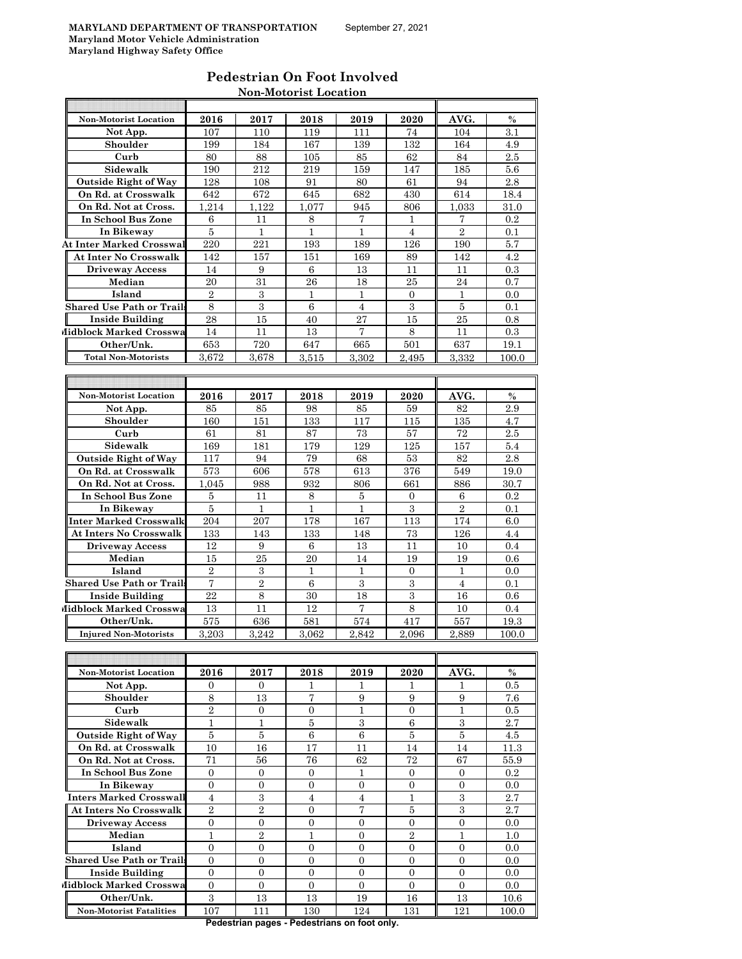| Pedestrian On Foot Involved  |
|------------------------------|
| <b>Non-Motorist Location</b> |

| <b>Non-Motorist Location</b>     | 2016           | 2017           | 2018           | 2019             | 2020             | AVG.             | $\%$  |
|----------------------------------|----------------|----------------|----------------|------------------|------------------|------------------|-------|
| Not App.                         | 107            | 110            | 119            | 111              | 74               | 104              | 3.1   |
| Shoulder                         | 199            | 184            | 167            | 139              | 132              | 164              | 4.9   |
| Curb                             | 80             | 88             | 105            | 85               | 62               | 84               | 2.5   |
| Sidewalk                         | 190            | 212            | 219            | 159              | 147              | 185              | 5.6   |
| <b>Outside Right of Way</b>      | 128            | 108            | 91             | 80               | 61               | 94               | 2.8   |
| On Rd. at Crosswalk              | 642            | 672            | 645            | 682              | 430              | 614              | 18.4  |
| On Rd. Not at Cross.             | 1,214          | 1,122          | 1,077          | 945              | 806              | 1,033            | 31.0  |
| In School Bus Zone               | 6              | 11             | 8              | 7                | ı.               | 7                | 0.2   |
| In Bikeway                       | 5              | 1              | 1              | 1                | $\overline{4}$   | $\overline{2}$   | 0.1   |
| <b>At Inter Marked Crosswal</b>  | 220            | 221            | 193            | 189              | 126              | 190              | 5.7   |
| At Inter No Crosswalk            | 142            | 157            | 151            | 169              | 89               | 142              | 4.2   |
| <b>Driveway Access</b>           | 14             | 9              | 6              | 13               | 11               | 11               | 0.3   |
| Median                           | 20             | 31             | 26             | 18               | 25               | 24               | 0.7   |
| Island                           | $\overline{2}$ | 3              | 1              | 1                | $\mathbf{0}$     | $\mathbf{1}$     | 0.0   |
| <b>Shared Use Path or Trail</b>  | 8              | 3              | 6              | 4                | 3                | 5                | 0.1   |
| <b>Inside Building</b>           | 28             | 15             | 40             | 27               | 15               | 25               | 0.8   |
| Midblock Marked Crosswa          | 14             | 11             | 13             | $\overline{7}$   | 8                | 11               | 0.3   |
| Other/Unk.                       |                | 720            |                |                  | 501              | 637              |       |
|                                  | 653            |                | 647            | 665              |                  |                  | 19.1  |
| <b>Total Non-Motorists</b>       | 3,672          | 3,678          | 3,515          | 3,302            | 2,495            | 3,332            | 100.0 |
|                                  |                |                |                |                  |                  |                  |       |
|                                  |                |                |                |                  |                  |                  |       |
| <b>Non-Motorist Location</b>     | 2016           | 2017           | 2018           | 2019             | 2020             | AVG.             | $\%$  |
| Not App.                         | 85             | 85             | 98             | 85               | 59               | 82               | 2.9   |
| Shoulder                         | 160            | 151            | 133            | 117              | 115              | 135              | 4.7   |
| Curb                             | 61             | 81             | 87             | 73               | 57               | 72               | 2.5   |
| Sidewalk                         | 169            | 181            | 179            | 129              | 125              | 157              | 5.4   |
| <b>Outside Right of Way</b>      | 117            | 94             | 79             | 68               | 53               | 82               | 2.8   |
| On Rd. at Crosswalk              | 573            | 606            | 578            | 613              | 376              | 549              | 19.0  |
| On Rd. Not at Cross.             | 1.045          | 988            | 932            | 806              | 661              | 886              | 30.7  |
| In School Bus Zone               | 5              | 11             | 8              | 5                | 0                | 6                | 0.2   |
| In Bikeway                       | 5              | 1              | $\mathbf{1}$   | $\mathbf{1}$     | 3                | $\overline{2}$   | 0.1   |
| Inter Marked Crosswalk           | 204            | 207            | 178            | 167              | 113              | 174              | 6.0   |
| At Inters No Crosswalk           | 133            | 143            | 133            | 148              | 73               | 126              | 4.4   |
| <b>Driveway Access</b>           | 12             | 9              | 6              | 13               | 11               | 10               | 0.4   |
| Median                           | 15             | 25             | 20             | 14               | 19               | 19               | 0.6   |
| Island                           | $\overline{2}$ | 3              | $\mathbf{1}$   | $\mathbf{1}$     | $\overline{0}$   | $\mathbf{1}$     | 0.0   |
| <b>Shared Use Path or Trail</b>  | 7              | 2              | 6              | 3                | 3                | 4                | 0.1   |
| Inside Building                  | 22             | 8              | 30             | 18               | 3                | 16               | 0.6   |
| Midblock Marked Crosswa          | 13             | 11             | 12             | 7                | 8                | 10               | 0.4   |
| Other/Unk.                       | 575            | 636            | 581            | 574              | 417              | 557              | 19.3  |
| <b>Injured Non-Motorists</b>     | 3,203          | 3.242          | 3.062          | 2,842            | 2.096            | 2,889            | 100.0 |
|                                  |                |                |                |                  |                  |                  |       |
|                                  |                |                |                |                  |                  |                  |       |
| <b>Non-Motorist Location</b>     | 2016           | 2017           | 2018           | 2019             | 2020             | AVG.             | $\%$  |
| Not App.                         | 0              | $\mathbf{0}$   | 1              | 1                | 1                | 1                | 0.5   |
| Shoulder                         | 8              | 13             | 7              | 9                | 9                | 9                | 7.6   |
| Curb                             | $\,2$          | $\mathbf{0}$   | $\mathbf{0}$   | $\mathbf{1}$     | $\boldsymbol{0}$ | $\mathbf{1}$     | 0.5   |
| Sidewalk                         | $1\,$          | $\mathbf 1$    | $\bf 5$        | 3                | 6                | $\,3$            | 2.7   |
| <b>Outside Right of Way</b>      | $\bf 5$        | 5              | $\,6\,$        | $\,6\,$          | $\bf 5$          | $\bf 5$          | 4.5   |
| On Rd. at Crosswalk              | 10             | 16             | 17             | 11               | 14               | 14               | 11.3  |
| On Rd. Not at Cross.             | 71             | 56             | 76             | 62               | 72               | 67               | 55.9  |
| In School Bus Zone               | 0              | $\mathbf{0}$   | 0              | 1                | 0                | $\mathbf{0}$     | 0.2   |
| In Bikeway                       | $\overline{0}$ | $\overline{0}$ | $\overline{0}$ | $\mathbf{0}$     | $\overline{0}$   | $\mathbf{0}$     | 0.0   |
| <b>Inters Marked Crosswall</b>   | $\overline{4}$ | $\overline{3}$ | $\overline{4}$ | $\overline{4}$   | $\mathbf{1}$     | $\overline{3}$   | 2.7   |
| <b>At Inters No Crosswalk</b>    | $\overline{2}$ | $\sqrt{2}$     | 0              | 7                | 5                | 3                | 2.7   |
| <b>Driveway Access</b>           | 0              | 0              | 0              | $\boldsymbol{0}$ | 0                | 0                | 0.0   |
| Median                           | $\mathbf{1}$   | $\overline{2}$ | $\mathbf{1}$   | $\mathbf{0}$     | $\overline{2}$   | $\mathbf{1}$     | 1.0   |
| Island                           | $\overline{0}$ | $\overline{0}$ | $\overline{0}$ | $\mathbf{0}$     | $\boldsymbol{0}$ | $\boldsymbol{0}$ | 0.0   |
| <b>Shared Use Path or Trails</b> | 0              | 0              | 0              | 0                | 0                | 0                | 0.0   |
| <b>Inside Building</b>           | $\overline{0}$ | $\overline{0}$ | $\overline{0}$ | $\overline{0}$   | $\overline{0}$   | $\overline{0}$   | 0.0   |
|                                  | $\overline{0}$ | $\mathbf{0}$   | $\overline{0}$ | $\mathbf{0}$     | $\overline{0}$   | $\mathbf{0}$     | 0.0   |
| Midblock Marked Crosswa          | 3              |                |                |                  |                  |                  |       |
| Other/Unk.                       |                | 13             | 13             | 19               | 16               | 13               | 10.6  |
| <b>Non-Motorist Fatalities</b>   | 107            | 111            | 130            | 124              | 131              | 121              | 100.0 |

**Pedestrian pages - Pedestrians on foot only.**